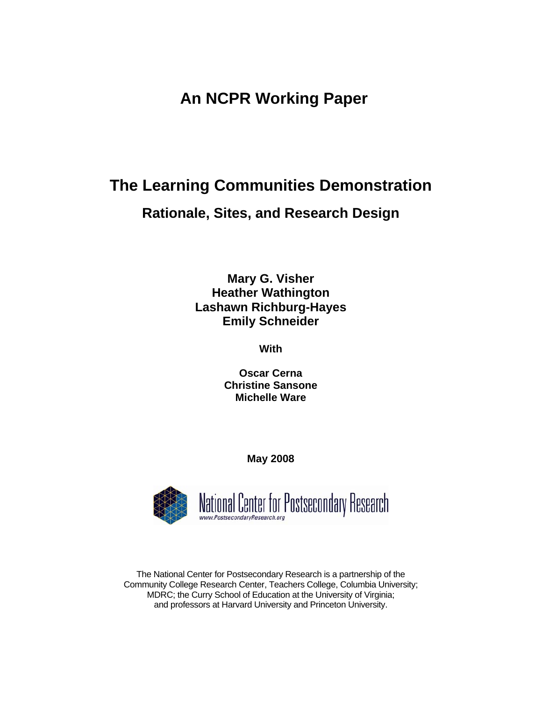# **An NCPR Working Paper**

# **The Learning Communities Demonstration Rationale, Sites, and Research Design**

**Mary G. Visher Heather Wathington Lashawn Richburg-Hayes Emily Schneider** 

**With** 

**Oscar Cerna Christine Sansone Michelle Ware** 

**May 2008** 



The National Center for Postsecondary Research is a partnership of the Community College Research Center, Teachers College, Columbia University; MDRC; the Curry School of Education at the University of Virginia; and professors at Harvard University and Princeton University.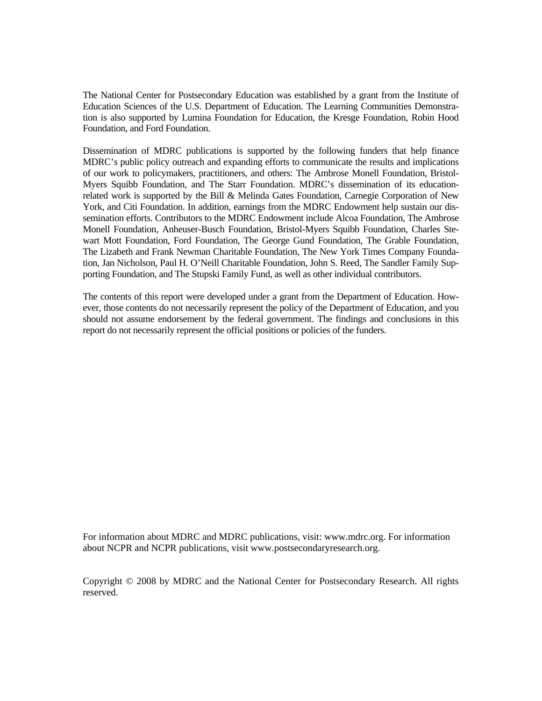The National Center for Postsecondary Education was established by a grant from the Institute of Education Sciences of the U.S. Department of Education. The Learning Communities Demonstration is also supported by Lumina Foundation for Education, the Kresge Foundation, Robin Hood Foundation, and Ford Foundation.

Dissemination of MDRC publications is supported by the following funders that help finance MDRC's public policy outreach and expanding efforts to communicate the results and implications of our work to policymakers, practitioners, and others: The Ambrose Monell Foundation, Bristol-Myers Squibb Foundation, and The Starr Foundation. MDRC's dissemination of its educationrelated work is supported by the Bill & Melinda Gates Foundation, Carnegie Corporation of New York, and Citi Foundation. In addition, earnings from the MDRC Endowment help sustain our dissemination efforts. Contributors to the MDRC Endowment include Alcoa Foundation, The Ambrose Monell Foundation, Anheuser-Busch Foundation, Bristol-Myers Squibb Foundation, Charles Stewart Mott Foundation, Ford Foundation, The George Gund Foundation, The Grable Foundation, The Lizabeth and Frank Newman Charitable Foundation, The New York Times Company Foundation, Jan Nicholson, Paul H. O'Neill Charitable Foundation, John S. Reed, The Sandler Family Supporting Foundation, and The Stupski Family Fund, as well as other individual contributors.

The contents of this report were developed under a grant from the Department of Education. However, those contents do not necessarily represent the policy of the Department of Education, and you should not assume endorsement by the federal government. The findings and conclusions in this report do not necessarily represent the official positions or policies of the funders.

For information about MDRC and MDRC publications, visit: www.mdrc.org. For information about NCPR and NCPR publications, visit www.postsecondaryresearch.org.

Copyright © 2008 by MDRC and the National Center for Postsecondary Research. All rights reserved.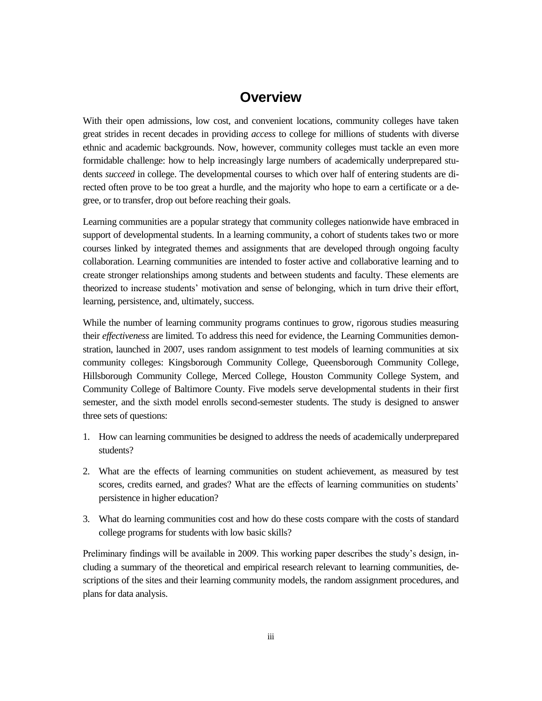## **Overview**

With their open admissions, low cost, and convenient locations, community colleges have taken great strides in recent decades in providing *access* to college for millions of students with diverse ethnic and academic backgrounds. Now, however, community colleges must tackle an even more formidable challenge: how to help increasingly large numbers of academically underprepared students *succeed* in college. The developmental courses to which over half of entering students are directed often prove to be too great a hurdle, and the majority who hope to earn a certificate or a degree, or to transfer, drop out before reaching their goals.

Learning communities are a popular strategy that community colleges nationwide have embraced in support of developmental students. In a learning community, a cohort of students takes two or more courses linked by integrated themes and assignments that are developed through ongoing faculty collaboration. Learning communities are intended to foster active and collaborative learning and to create stronger relationships among students and between students and faculty. These elements are theorized to increase students' motivation and sense of belonging, which in turn drive their effort, learning, persistence, and, ultimately, success.

While the number of learning community programs continues to grow, rigorous studies measuring their *effectiveness* are limited. To address this need for evidence, the Learning Communities demonstration, launched in 2007, uses random assignment to test models of learning communities at six community colleges: Kingsborough Community College, Queensborough Community College, Hillsborough Community College, Merced College, Houston Community College System, and Community College of Baltimore County. Five models serve developmental students in their first semester, and the sixth model enrolls second-semester students. The study is designed to answer three sets of questions:

- 1. How can learning communities be designed to address the needs of academically underprepared students?
- 2. What are the effects of learning communities on student achievement, as measured by test scores, credits earned, and grades? What are the effects of learning communities on students' persistence in higher education?
- 3. What do learning communities cost and how do these costs compare with the costs of standard college programs for students with low basic skills?

Preliminary findings will be available in 2009. This working paper describes the study's design, including a summary of the theoretical and empirical research relevant to learning communities, descriptions of the sites and their learning community models, the random assignment procedures, and plans for data analysis.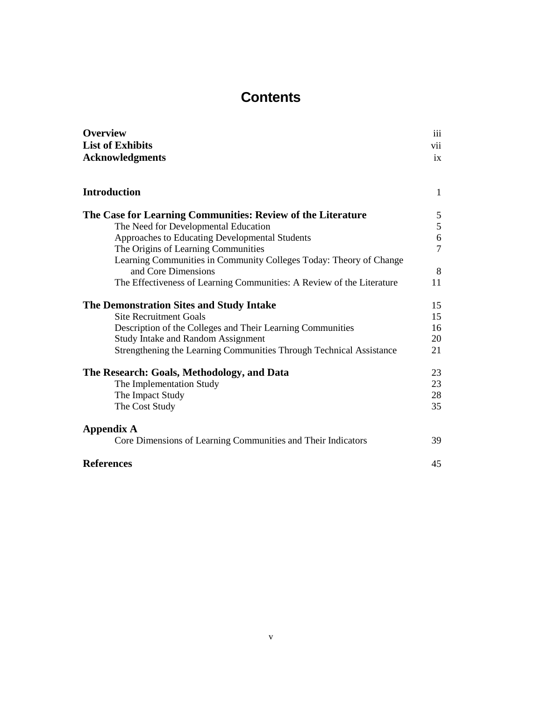# **Contents**

| <b>Overview</b>                                                       | iii            |
|-----------------------------------------------------------------------|----------------|
| <b>List of Exhibits</b>                                               | vii            |
| <b>Acknowledgments</b>                                                | ix             |
| <b>Introduction</b>                                                   | $\mathbf{1}$   |
| The Case for Learning Communities: Review of the Literature           | 5              |
| The Need for Developmental Education                                  | 5              |
| Approaches to Educating Developmental Students                        | 6              |
| The Origins of Learning Communities                                   | $\overline{7}$ |
| Learning Communities in Community Colleges Today: Theory of Change    |                |
| and Core Dimensions                                                   | 8              |
| The Effectiveness of Learning Communities: A Review of the Literature | 11             |
| The Demonstration Sites and Study Intake                              | 15             |
| <b>Site Recruitment Goals</b>                                         | 15             |
| Description of the Colleges and Their Learning Communities            | 16             |
| <b>Study Intake and Random Assignment</b>                             | 20             |
| Strengthening the Learning Communities Through Technical Assistance   | 21             |
| The Research: Goals, Methodology, and Data                            | 23             |
| The Implementation Study                                              | 23             |
| The Impact Study                                                      | 28             |
| The Cost Study                                                        | 35             |
| <b>Appendix A</b>                                                     |                |
| Core Dimensions of Learning Communities and Their Indicators          | 39             |
| <b>References</b>                                                     | 45             |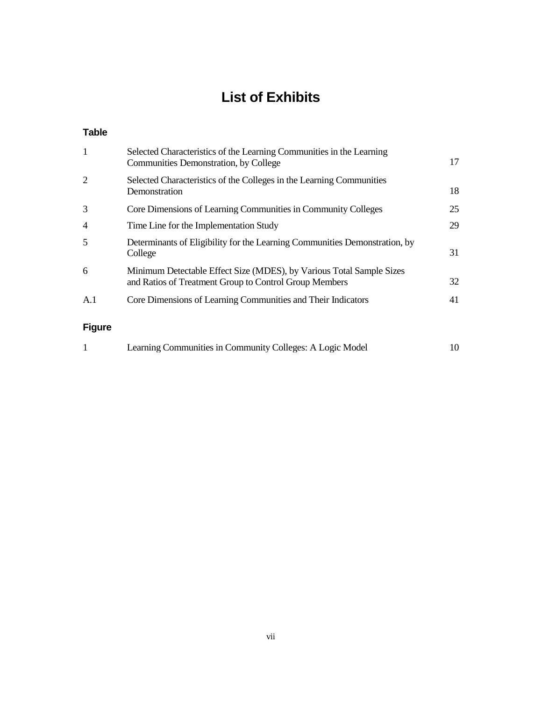# **List of Exhibits**

### **Table**

| 1              | Selected Characteristics of the Learning Communities in the Learning<br>Communities Demonstration, by College                  | 17 |
|----------------|--------------------------------------------------------------------------------------------------------------------------------|----|
| 2              | Selected Characteristics of the Colleges in the Learning Communities<br>Demonstration                                          | 18 |
| 3              | Core Dimensions of Learning Communities in Community Colleges                                                                  | 25 |
| $\overline{4}$ | Time Line for the Implementation Study                                                                                         | 29 |
| 5              | Determinants of Eligibility for the Learning Communities Demonstration, by<br>College                                          | 31 |
| 6              | Minimum Detectable Effect Size (MDES), by Various Total Sample Sizes<br>and Ratios of Treatment Group to Control Group Members | 32 |
| A.1            | Core Dimensions of Learning Communities and Their Indicators                                                                   | 41 |
| Figure         |                                                                                                                                |    |

### **Figure**

| Learning Communities in Community Colleges: A Logic Model | 10 |
|-----------------------------------------------------------|----|
|-----------------------------------------------------------|----|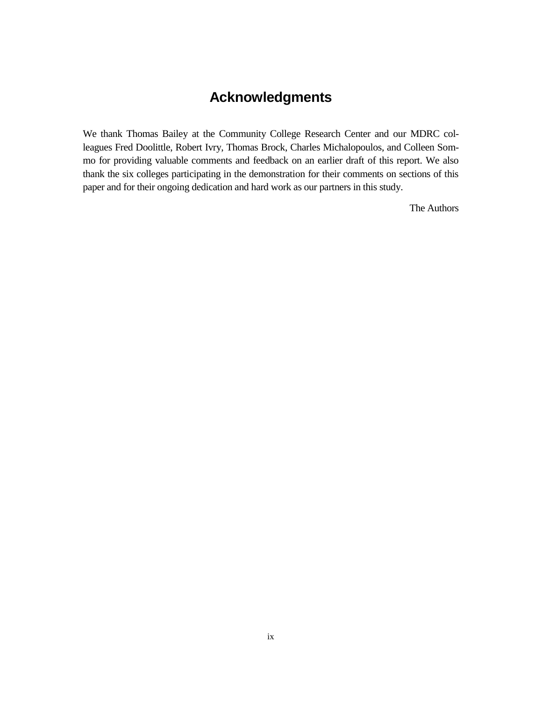# **Acknowledgments**

We thank Thomas Bailey at the Community College Research Center and our MDRC colleagues Fred Doolittle, Robert Ivry, Thomas Brock, Charles Michalopoulos, and Colleen Sommo for providing valuable comments and feedback on an earlier draft of this report. We also thank the six colleges participating in the demonstration for their comments on sections of this paper and for their ongoing dedication and hard work as our partners in this study.

The Authors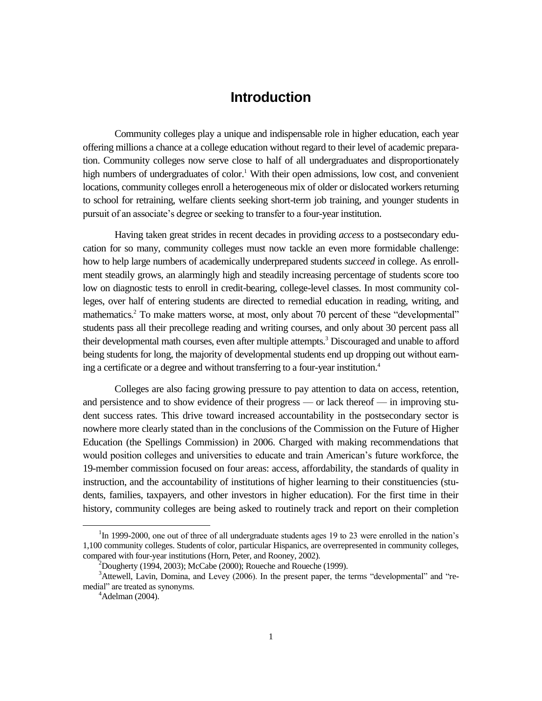### **Introduction**

Community colleges play a unique and indispensable role in higher education, each year offering millions a chance at a college education without regard to their level of academic preparation. Community colleges now serve close to half of all undergraduates and disproportionately high numbers of undergraduates of color.<sup>1</sup> With their open admissions, low cost, and convenient locations, community colleges enroll a heterogeneous mix of older or dislocated workers returning to school for retraining, welfare clients seeking short-term job training, and younger students in pursuit of an associate's degree or seeking to transfer to a four-year institution.

Having taken great strides in recent decades in providing *access* to a postsecondary education for so many, community colleges must now tackle an even more formidable challenge: how to help large numbers of academically underprepared students *succeed* in college. As enrollment steadily grows, an alarmingly high and steadily increasing percentage of students score too low on diagnostic tests to enroll in credit-bearing, college-level classes. In most community colleges, over half of entering students are directed to remedial education in reading, writing, and mathematics.<sup>2</sup> To make matters worse, at most, only about 70 percent of these "developmental" students pass all their precollege reading and writing courses, and only about 30 percent pass all their developmental math courses, even after multiple attempts.<sup>3</sup> Discouraged and unable to afford being students for long, the majority of developmental students end up dropping out without earning a certificate or a degree and without transferring to a four-year institution.<sup>4</sup>

Colleges are also facing growing pressure to pay attention to data on access, retention, and persistence and to show evidence of their progress — or lack thereof — in improving student success rates. This drive toward increased accountability in the postsecondary sector is nowhere more clearly stated than in the conclusions of the Commission on the Future of Higher Education (the Spellings Commission) in 2006. Charged with making recommendations that would position colleges and universities to educate and train American's future workforce, the 19-member commission focused on four areas: access, affordability, the standards of quality in instruction, and the accountability of institutions of higher learning to their constituencies (students, families, taxpayers, and other investors in higher education). For the first time in their history, community colleges are being asked to routinely track and report on their completion

<sup>&</sup>lt;sup>1</sup>In 1999-2000, one out of three of all undergraduate students ages 19 to 23 were enrolled in the nation's 1,100 community colleges. Students of color, particular Hispanics, are overrepresented in community colleges, compared with four-year institutions (Horn, Peter, and Rooney, 2002).

 $2^{2}$ Dougherty (1994, 2003); McCabe (2000); Roueche and Roueche (1999).

 $3$ Attewell, Lavin, Domina, and Levey (2006). In the present paper, the terms "developmental" and "remedial" are treated as synonyms.

 $4$ Adelman (2004).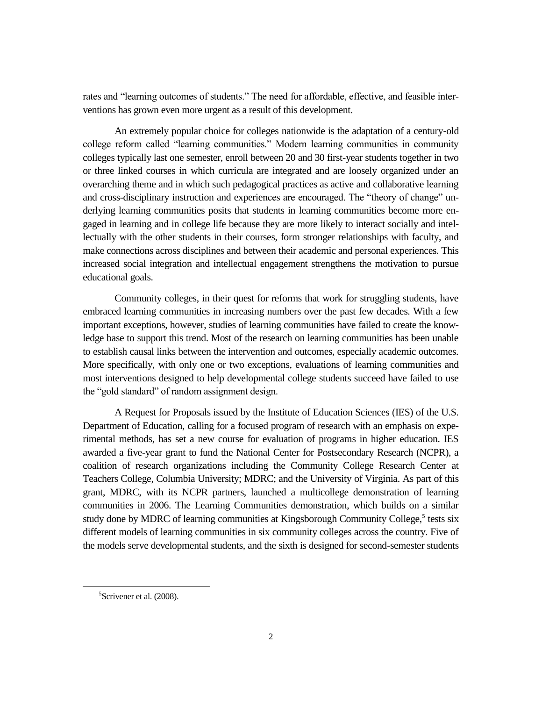rates and "learning outcomes of students." The need for affordable, effective, and feasible interventions has grown even more urgent as a result of this development.

An extremely popular choice for colleges nationwide is the adaptation of a century-old college reform called "learning communities." Modern learning communities in community colleges typically last one semester, enroll between 20 and 30 first-year students together in two or three linked courses in which curricula are integrated and are loosely organized under an overarching theme and in which such pedagogical practices as active and collaborative learning and cross-disciplinary instruction and experiences are encouraged. The "theory of change" underlying learning communities posits that students in learning communities become more engaged in learning and in college life because they are more likely to interact socially and intellectually with the other students in their courses, form stronger relationships with faculty, and make connections across disciplines and between their academic and personal experiences. This increased social integration and intellectual engagement strengthens the motivation to pursue educational goals.

Community colleges, in their quest for reforms that work for struggling students, have embraced learning communities in increasing numbers over the past few decades. With a few important exceptions, however, studies of learning communities have failed to create the knowledge base to support this trend. Most of the research on learning communities has been unable to establish causal links between the intervention and outcomes, especially academic outcomes. More specifically, with only one or two exceptions, evaluations of learning communities and most interventions designed to help developmental college students succeed have failed to use the "gold standard" of random assignment design.

A Request for Proposals issued by the Institute of Education Sciences (IES) of the U.S. Department of Education, calling for a focused program of research with an emphasis on experimental methods, has set a new course for evaluation of programs in higher education. IES awarded a five-year grant to fund the National Center for Postsecondary Research (NCPR), a coalition of research organizations including the Community College Research Center at Teachers College, Columbia University; MDRC; and the University of Virginia. As part of this grant, MDRC, with its NCPR partners, launched a multicollege demonstration of learning communities in 2006. The Learning Communities demonstration, which builds on a similar study done by MDRC of learning communities at Kingsborough Community College,<sup>5</sup> tests six different models of learning communities in six community colleges across the country. Five of the models serve developmental students, and the sixth is designed for second-semester students

<sup>&</sup>lt;sup>5</sup>Scrivener et al. (2008).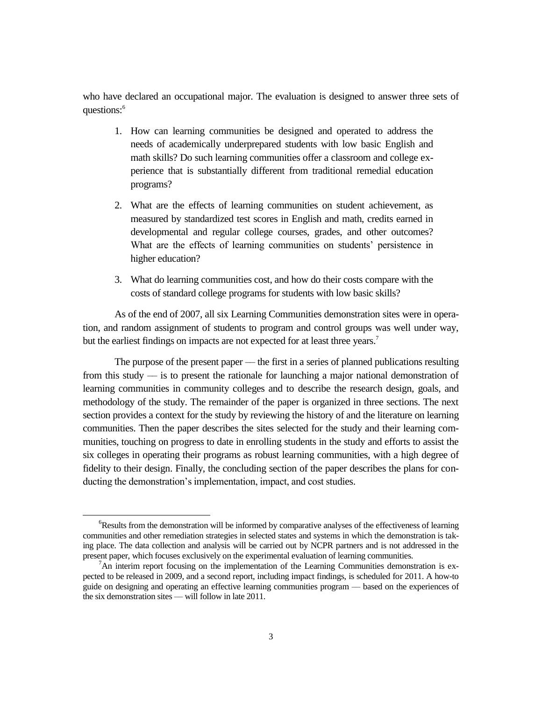who have declared an occupational major. The evaluation is designed to answer three sets of questions:<sup>6</sup>

- 1. How can learning communities be designed and operated to address the needs of academically underprepared students with low basic English and math skills? Do such learning communities offer a classroom and college experience that is substantially different from traditional remedial education programs?
- 2. What are the effects of learning communities on student achievement, as measured by standardized test scores in English and math, credits earned in developmental and regular college courses, grades, and other outcomes? What are the effects of learning communities on students' persistence in higher education?
- 3. What do learning communities cost, and how do their costs compare with the costs of standard college programs for students with low basic skills?

As of the end of 2007, all six Learning Communities demonstration sites were in operation, and random assignment of students to program and control groups was well under way, but the earliest findings on impacts are not expected for at least three years.<sup>7</sup>

The purpose of the present paper –– the first in a series of planned publications resulting from this study –– is to present the rationale for launching a major national demonstration of learning communities in community colleges and to describe the research design, goals, and methodology of the study. The remainder of the paper is organized in three sections. The next section provides a context for the study by reviewing the history of and the literature on learning communities. Then the paper describes the sites selected for the study and their learning communities, touching on progress to date in enrolling students in the study and efforts to assist the six colleges in operating their programs as robust learning communities, with a high degree of fidelity to their design. Finally, the concluding section of the paper describes the plans for conducting the demonstration's implementation, impact, and cost studies.

 $\overline{a}$ 

<sup>&</sup>lt;sup>6</sup>Results from the demonstration will be informed by comparative analyses of the effectiveness of learning communities and other remediation strategies in selected states and systems in which the demonstration is taking place. The data collection and analysis will be carried out by NCPR partners and is not addressed in the present paper, which focuses exclusively on the experimental evaluation of learning communities.

 ${}^{7}$ An interim report focusing on the implementation of the Learning Communities demonstration is expected to be released in 2009, and a second report, including impact findings, is scheduled for 2011. A how-to guide on designing and operating an effective learning communities program –– based on the experiences of the six demonstration sites –– will follow in late 2011.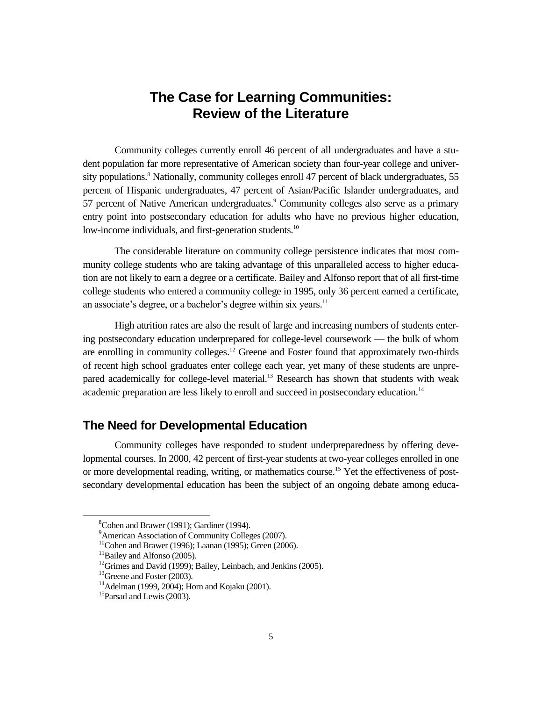# **The Case for Learning Communities: Review of the Literature**

Community colleges currently enroll 46 percent of all undergraduates and have a student population far more representative of American society than four-year college and university populations.<sup>8</sup> Nationally, community colleges enroll 47 percent of black undergraduates, 55 percent of Hispanic undergraduates, 47 percent of Asian/Pacific Islander undergraduates, and 57 percent of Native American undergraduates.<sup>9</sup> Community colleges also serve as a primary entry point into postsecondary education for adults who have no previous higher education, low-income individuals, and first-generation students.<sup>10</sup>

The considerable literature on community college persistence indicates that most community college students who are taking advantage of this unparalleled access to higher education are not likely to earn a degree or a certificate. Bailey and Alfonso report that of all first-time college students who entered a community college in 1995, only 36 percent earned a certificate, an associate's degree, or a bachelor's degree within six years.<sup>11</sup>

High attrition rates are also the result of large and increasing numbers of students entering postsecondary education underprepared for college-level coursework — the bulk of whom are enrolling in community colleges.<sup>12</sup> Greene and Foster found that approximately two-thirds of recent high school graduates enter college each year, yet many of these students are unprepared academically for college-level material.<sup>13</sup> Research has shown that students with weak academic preparation are less likely to enroll and succeed in postsecondary education.<sup>14</sup>

### **The Need for Developmental Education**

Community colleges have responded to student underpreparedness by offering developmental courses. In 2000, 42 percent of first-year students at two-year colleges enrolled in one or more developmental reading, writing, or mathematics course.<sup>15</sup> Yet the effectiveness of postsecondary developmental education has been the subject of an ongoing debate among educa-

 $\overline{a}$ 

 ${}^{8}$ Cohen and Brawer (1991); Gardiner (1994).

<sup>&</sup>lt;sup>9</sup>American Association of Community Colleges (2007).

<sup>&</sup>lt;sup>10</sup>Cohen and Brawer (1996); Laanan (1995); Green (2006).

<sup>&</sup>lt;sup>11</sup>Bailey and Alfonso (2005).

 $12$ Grimes and David (1999); Bailey, Leinbach, and Jenkins (2005).

<sup>&</sup>lt;sup>13</sup>Greene and Foster (2003).

<sup>&</sup>lt;sup>14</sup> Adelman (1999, 2004); Horn and Kojaku (2001).

<sup>&</sup>lt;sup>15</sup>Parsad and Lewis (2003).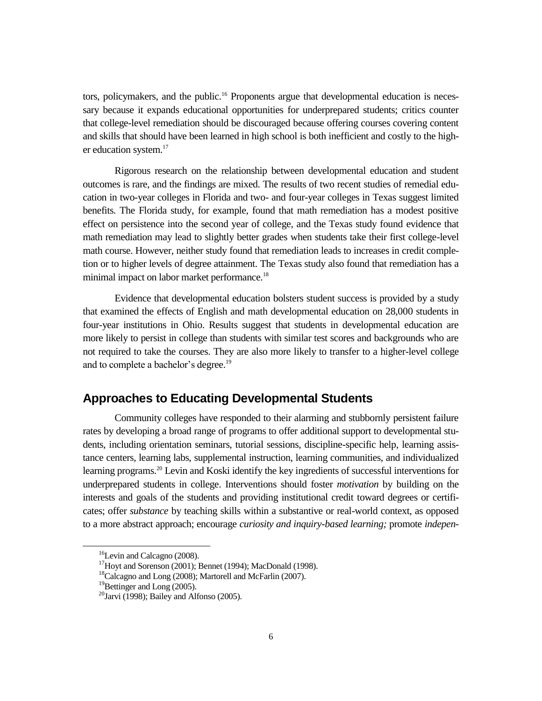tors, policymakers, and the public.<sup>16</sup> Proponents argue that developmental education is necessary because it expands educational opportunities for underprepared students; critics counter that college-level remediation should be discouraged because offering courses covering content and skills that should have been learned in high school is both inefficient and costly to the higher education system.<sup>17</sup>

Rigorous research on the relationship between developmental education and student outcomes is rare, and the findings are mixed. The results of two recent studies of remedial education in two-year colleges in Florida and two- and four-year colleges in Texas suggest limited benefits. The Florida study, for example, found that math remediation has a modest positive effect on persistence into the second year of college, and the Texas study found evidence that math remediation may lead to slightly better grades when students take their first college-level math course. However, neither study found that remediation leads to increases in credit completion or to higher levels of degree attainment. The Texas study also found that remediation has a minimal impact on labor market performance.<sup>18</sup>

Evidence that developmental education bolsters student success is provided by a study that examined the effects of English and math developmental education on 28,000 students in four-year institutions in Ohio. Results suggest that students in developmental education are more likely to persist in college than students with similar test scores and backgrounds who are not required to take the courses. They are also more likely to transfer to a higher-level college and to complete a bachelor's degree.<sup>19</sup>

### **Approaches to Educating Developmental Students**

Community colleges have responded to their alarming and stubbornly persistent failure rates by developing a broad range of programs to offer additional support to developmental students, including orientation seminars, tutorial sessions, discipline-specific help, learning assistance centers, learning labs, supplemental instruction, learning communities, and individualized learning programs.<sup>20</sup> Levin and Koski identify the key ingredients of successful interventions for underprepared students in college. Interventions should foster *motivation* by building on the interests and goals of the students and providing institutional credit toward degrees or certificates; offer *substance* by teaching skills within a substantive or real-world context, as opposed to a more abstract approach; encourage *curiosity and inquiry-based learning;* promote *indepen-*

<sup>&</sup>lt;sup>16</sup>Levin and Calcagno (2008).

<sup>&</sup>lt;sup>17</sup>Hoyt and Sorenson (2001); Bennet (1994); MacDonald (1998).

<sup>&</sup>lt;sup>18</sup>Calcagno and Long (2008); Martorell and McFarlin (2007).

<sup>&</sup>lt;sup>19</sup>Bettinger and Long (2005).

<sup>&</sup>lt;sup>20</sup>Jarvi (1998); Bailey and Alfonso (2005).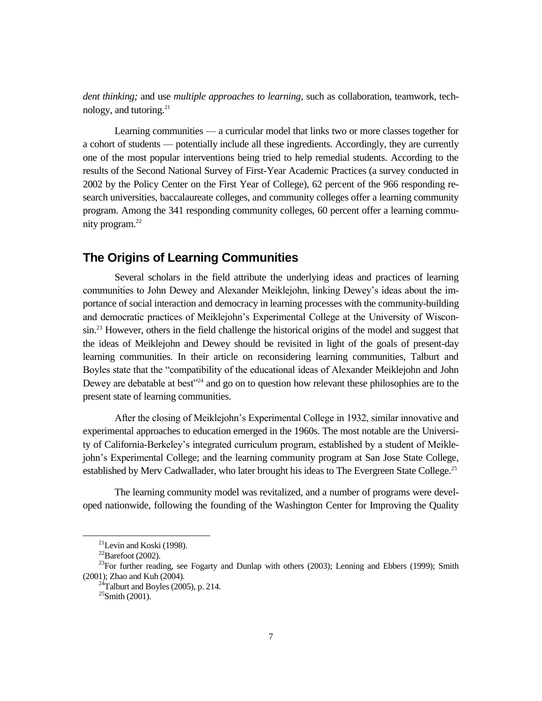*dent thinking;* and use *multiple approaches to learning,* such as collaboration, teamwork, technology, and tutoring. $21$ 

Learning communities –– a curricular model that links two or more classes together for a cohort of students –– potentially include all these ingredients. Accordingly, they are currently one of the most popular interventions being tried to help remedial students. According to the results of the Second National Survey of First-Year Academic Practices (a survey conducted in 2002 by the Policy Center on the First Year of College), 62 percent of the 966 responding research universities, baccalaureate colleges, and community colleges offer a learning community program. Among the 341 responding community colleges, 60 percent offer a learning community program.<sup>22</sup>

### **The Origins of Learning Communities**

Several scholars in the field attribute the underlying ideas and practices of learning communities to John Dewey and Alexander Meiklejohn, linking Dewey's ideas about the importance of social interaction and democracy in learning processes with the community-building and democratic practices of Meiklejohn's Experimental College at the University of Wisconsin.<sup>23</sup> However, others in the field challenge the historical origins of the model and suggest that the ideas of Meiklejohn and Dewey should be revisited in light of the goals of present-day learning communities. In their article on reconsidering learning communities, Talburt and Boyles state that the "compatibility of the educational ideas of Alexander Meiklejohn and John Dewey are debatable at best $^{224}$  and go on to question how relevant these philosophies are to the present state of learning communities.

After the closing of Meiklejohn's Experimental College in 1932, similar innovative and experimental approaches to education emerged in the 1960s. The most notable are the University of California-Berkeley's integrated curriculum program, established by a student of Meiklejohn's Experimental College; and the learning community program at San Jose State College, established by Merv Cadwallader, who later brought his ideas to The Evergreen State College.<sup>25</sup>

The learning community model was revitalized, and a number of programs were developed nationwide, following the founding of the Washington Center for Improving the Quality

 $^{21}$ Levin and Koski (1998).

 $^{22}$ Barefoot (2002).

 $^{23}$ For further reading, see Fogarty and Dunlap with others (2003); Lenning and Ebbers (1999); Smith (2001); Zhao and Kuh (2004).

 $^{24}$ Talburt and Boyles (2005), p. 214.

 $25$ Smith (2001).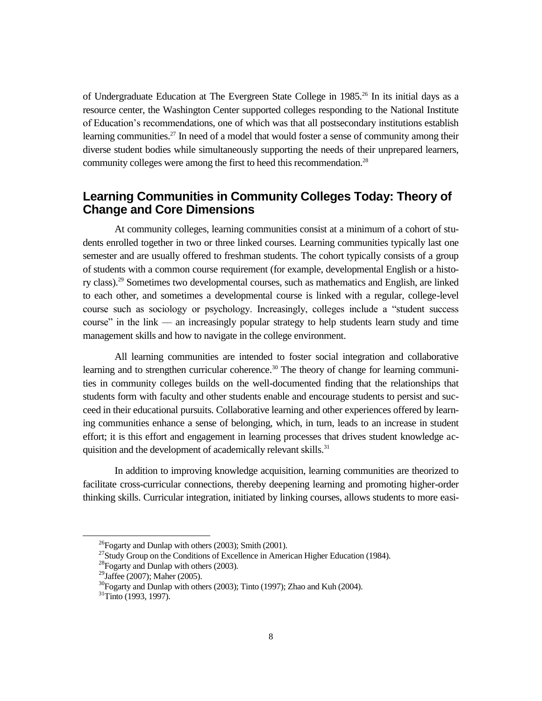of Undergraduate Education at The Evergreen State College in 1985.<sup>26</sup> In its initial days as a resource center, the Washington Center supported colleges responding to the National Institute of Education's recommendations, one of which was that all postsecondary institutions establish learning communities.<sup>27</sup> In need of a model that would foster a sense of community among their diverse student bodies while simultaneously supporting the needs of their unprepared learners, community colleges were among the first to heed this recommendation.<sup>28</sup>

### **Learning Communities in Community Colleges Today: Theory of Change and Core Dimensions**

At community colleges, learning communities consist at a minimum of a cohort of students enrolled together in two or three linked courses. Learning communities typically last one semester and are usually offered to freshman students. The cohort typically consists of a group of students with a common course requirement (for example, developmental English or a history class).<sup>29</sup> Sometimes two developmental courses, such as mathematics and English, are linked to each other, and sometimes a developmental course is linked with a regular, college-level course such as sociology or psychology. Increasingly, colleges include a "student success" course" in the link — an increasingly popular strategy to help students learn study and time management skills and how to navigate in the college environment.

All learning communities are intended to foster social integration and collaborative learning and to strengthen curricular coherence.<sup>30</sup> The theory of change for learning communities in community colleges builds on the well-documented finding that the relationships that students form with faculty and other students enable and encourage students to persist and succeed in their educational pursuits. Collaborative learning and other experiences offered by learning communities enhance a sense of belonging, which, in turn, leads to an increase in student effort; it is this effort and engagement in learning processes that drives student knowledge acquisition and the development of academically relevant skills.<sup>31</sup>

In addition to improving knowledge acquisition, learning communities are theorized to facilitate cross-curricular connections, thereby deepening learning and promoting higher-order thinking skills. Curricular integration, initiated by linking courses, allows students to more easi-

<sup>26</sup>Fogarty and Dunlap with others (2003); Smith (2001).

 $27$ Study Group on the Conditions of Excellence in American Higher Education (1984).

 $^{28}$ Fogarty and Dunlap with others (2003).

<sup>&</sup>lt;sup>29</sup>Jaffee (2007); Maher (2005).

 $30$ Fogarty and Dunlap with others (2003); Tinto (1997); Zhao and Kuh (2004).

 $31$ Tinto (1993, 1997).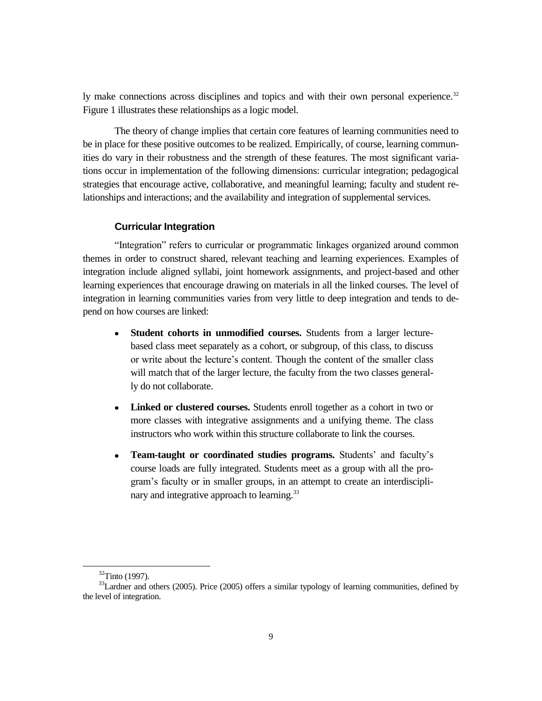ly make connections across disciplines and topics and with their own personal experience.<sup>32</sup> Figure 1 illustrates these relationships as a logic model.

The theory of change implies that certain core features of learning communities need to be in place for these positive outcomes to be realized. Empirically, of course, learning communities do vary in their robustness and the strength of these features. The most significant variations occur in implementation of the following dimensions: curricular integration; pedagogical strategies that encourage active, collaborative, and meaningful learning; faculty and student relationships and interactions; and the availability and integration of supplemental services.

#### **Curricular Integration**

―Integration‖ refers to curricular or programmatic linkages organized around common themes in order to construct shared, relevant teaching and learning experiences. Examples of integration include aligned syllabi, joint homework assignments, and project-based and other learning experiences that encourage drawing on materials in all the linked courses. The level of integration in learning communities varies from very little to deep integration and tends to depend on how courses are linked:

- **Student cohorts in unmodified courses.** Students from a larger lecturebased class meet separately as a cohort, or subgroup, of this class, to discuss or write about the lecture's content. Though the content of the smaller class will match that of the larger lecture, the faculty from the two classes generally do not collaborate.
- $\bullet$ **Linked or clustered courses.** Students enroll together as a cohort in two or more classes with integrative assignments and a unifying theme. The class instructors who work within this structure collaborate to link the courses.
- **Team-taught or coordinated studies programs.** Students' and faculty's course loads are fully integrated. Students meet as a group with all the program's faculty or in smaller groups, in an attempt to create an interdisciplinary and integrative approach to learning.<sup>33</sup>

<sup>32</sup>Tinto (1997).

<sup>&</sup>lt;sup>33</sup>Lardner and others (2005). Price (2005) offers a similar typology of learning communities, defined by the level of integration.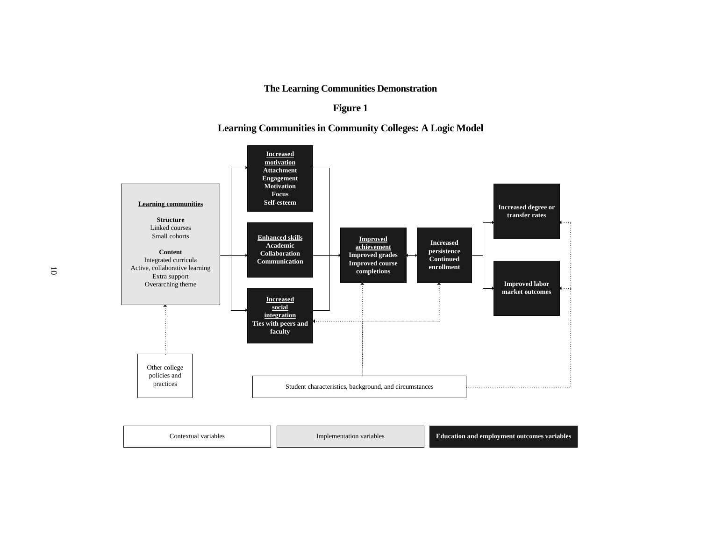### **The Learning Communities Demonstration**

### **Figure 1**

### **Learning Communities in Community Colleges: A Logic Model**

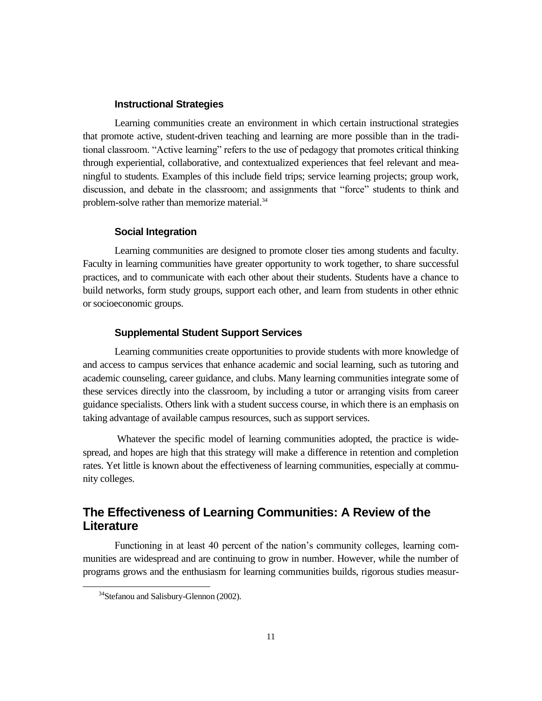### **Instructional Strategies**

Learning communities create an environment in which certain instructional strategies that promote active, student-driven teaching and learning are more possible than in the traditional classroom. "Active learning" refers to the use of pedagogy that promotes critical thinking through experiential, collaborative, and contextualized experiences that feel relevant and meaningful to students. Examples of this include field trips; service learning projects; group work, discussion, and debate in the classroom; and assignments that "force" students to think and problem-solve rather than memorize material.<sup>34</sup>

#### **Social Integration**

Learning communities are designed to promote closer ties among students and faculty. Faculty in learning communities have greater opportunity to work together, to share successful practices, and to communicate with each other about their students. Students have a chance to build networks, form study groups, support each other, and learn from students in other ethnic or socioeconomic groups.

#### **Supplemental Student Support Services**

Learning communities create opportunities to provide students with more knowledge of and access to campus services that enhance academic and social learning, such as tutoring and academic counseling, career guidance, and clubs. Many learning communities integrate some of these services directly into the classroom, by including a tutor or arranging visits from career guidance specialists. Others link with a student success course, in which there is an emphasis on taking advantage of available campus resources, such as support services.

Whatever the specific model of learning communities adopted, the practice is widespread, and hopes are high that this strategy will make a difference in retention and completion rates. Yet little is known about the effectiveness of learning communities, especially at community colleges.

### **The Effectiveness of Learning Communities: A Review of the Literature**

Functioning in at least 40 percent of the nation's community colleges, learning communities are widespread and are continuing to grow in number. However, while the number of programs grows and the enthusiasm for learning communities builds, rigorous studies measur-

<sup>&</sup>lt;sup>34</sup>Stefanou and Salisbury-Glennon (2002).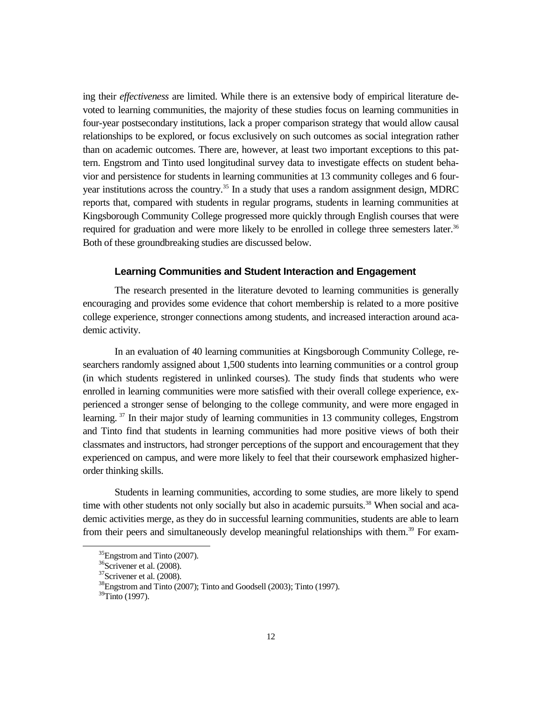ing their *effectiveness* are limited. While there is an extensive body of empirical literature devoted to learning communities, the majority of these studies focus on learning communities in four-year postsecondary institutions, lack a proper comparison strategy that would allow causal relationships to be explored, or focus exclusively on such outcomes as social integration rather than on academic outcomes. There are, however, at least two important exceptions to this pattern. Engstrom and Tinto used longitudinal survey data to investigate effects on student behavior and persistence for students in learning communities at 13 community colleges and 6 fouryear institutions across the country.<sup>35</sup> In a study that uses a random assignment design, MDRC reports that, compared with students in regular programs, students in learning communities at Kingsborough Community College progressed more quickly through English courses that were required for graduation and were more likely to be enrolled in college three semesters later.<sup>36</sup> Both of these groundbreaking studies are discussed below.

#### **Learning Communities and Student Interaction and Engagement**

The research presented in the literature devoted to learning communities is generally encouraging and provides some evidence that cohort membership is related to a more positive college experience, stronger connections among students, and increased interaction around academic activity.

In an evaluation of 40 learning communities at Kingsborough Community College, researchers randomly assigned about 1,500 students into learning communities or a control group (in which students registered in unlinked courses). The study finds that students who were enrolled in learning communities were more satisfied with their overall college experience, experienced a stronger sense of belonging to the college community, and were more engaged in learning.<sup>37</sup> In their major study of learning communities in 13 community colleges, Engstrom and Tinto find that students in learning communities had more positive views of both their classmates and instructors, had stronger perceptions of the support and encouragement that they experienced on campus, and were more likely to feel that their coursework emphasized higherorder thinking skills.

Students in learning communities, according to some studies, are more likely to spend time with other students not only socially but also in academic pursuits.<sup>38</sup> When social and academic activities merge, as they do in successful learning communities, students are able to learn from their peers and simultaneously develop meaningful relationships with them.<sup>39</sup> For exam-

<sup>&</sup>lt;sup>35</sup>Engstrom and Tinto (2007).

<sup>&</sup>lt;sup>36</sup>Scrivener et al. (2008).

 $37$ Scrivener et al. (2008).

<sup>38</sup>Engstrom and Tinto (2007); Tinto and Goodsell (2003); Tinto (1997).

<sup>39</sup>Tinto (1997).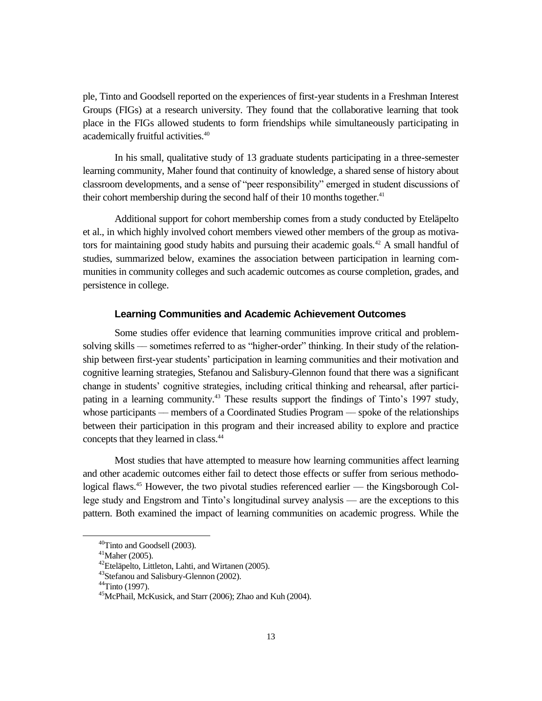ple, Tinto and Goodsell reported on the experiences of first-year students in a Freshman Interest Groups (FIGs) at a research university. They found that the collaborative learning that took place in the FIGs allowed students to form friendships while simultaneously participating in academically fruitful activities.<sup>40</sup>

In his small, qualitative study of 13 graduate students participating in a three-semester learning community, Maher found that continuity of knowledge, a shared sense of history about classroom developments, and a sense of "peer responsibility" emerged in student discussions of their cohort membership during the second half of their 10 months together.<sup>41</sup>

Additional support for cohort membership comes from a study conducted by Eteläpelto et al., in which highly involved cohort members viewed other members of the group as motivators for maintaining good study habits and pursuing their academic goals.<sup>42</sup> A small handful of studies, summarized below, examines the association between participation in learning communities in community colleges and such academic outcomes as course completion, grades, and persistence in college.

### **Learning Communities and Academic Achievement Outcomes**

Some studies offer evidence that learning communities improve critical and problemsolving skills — sometimes referred to as "higher-order" thinking. In their study of the relationship between first-year students' participation in learning communities and their motivation and cognitive learning strategies, Stefanou and Salisbury-Glennon found that there was a significant change in students' cognitive strategies, including critical thinking and rehearsal, after participating in a learning community.<sup>43</sup> These results support the findings of Tinto's 1997 study, whose participants — members of a Coordinated Studies Program — spoke of the relationships between their participation in this program and their increased ability to explore and practice concepts that they learned in class.<sup>44</sup>

Most studies that have attempted to measure how learning communities affect learning and other academic outcomes either fail to detect those effects or suffer from serious methodological flaws.<sup>45</sup> However, the two pivotal studies referenced earlier — the Kingsborough College study and Engstrom and Tinto's longitudinal survey analysis — are the exceptions to this pattern. Both examined the impact of learning communities on academic progress. While the

<sup>40</sup>Tinto and Goodsell (2003).

 $41$ Maher (2005).

<sup>&</sup>lt;sup>42</sup>Eteläpelto, Littleton, Lahti, and Wirtanen (2005).

<sup>43</sup> Stefanou and Salisbury-Glennon (2002).

 $44$ Tinto (1997).

<sup>45</sup>McPhail, McKusick, and Starr (2006); Zhao and Kuh (2004).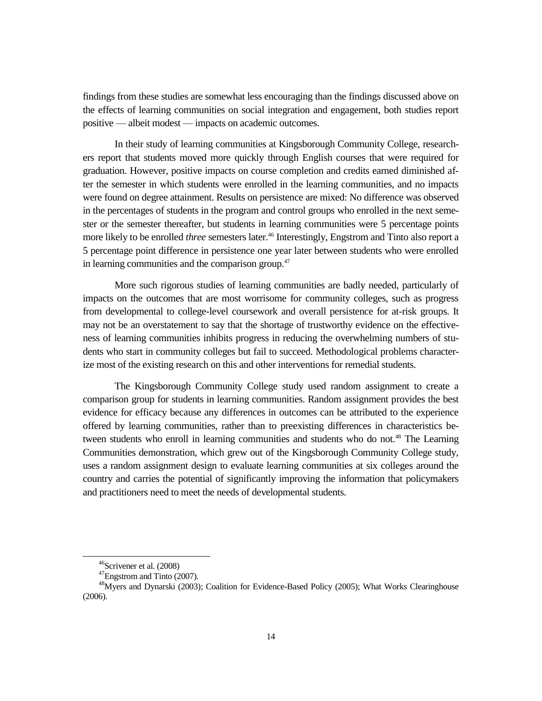findings from these studies are somewhat less encouraging than the findings discussed above on the effects of learning communities on social integration and engagement, both studies report positive — albeit modest –– impacts on academic outcomes.

In their study of learning communities at Kingsborough Community College, researchers report that students moved more quickly through English courses that were required for graduation. However, positive impacts on course completion and credits earned diminished after the semester in which students were enrolled in the learning communities, and no impacts were found on degree attainment. Results on persistence are mixed: No difference was observed in the percentages of students in the program and control groups who enrolled in the next semester or the semester thereafter, but students in learning communities were 5 percentage points more likely to be enrolled *three* semesters later.<sup>46</sup> Interestingly, Engstrom and Tinto also report a 5 percentage point difference in persistence one year later between students who were enrolled in learning communities and the comparison group. $47$ 

More such rigorous studies of learning communities are badly needed, particularly of impacts on the outcomes that are most worrisome for community colleges, such as progress from developmental to college-level coursework and overall persistence for at-risk groups. It may not be an overstatement to say that the shortage of trustworthy evidence on the effectiveness of learning communities inhibits progress in reducing the overwhelming numbers of students who start in community colleges but fail to succeed. Methodological problems characterize most of the existing research on this and other interventions for remedial students.

The Kingsborough Community College study used random assignment to create a comparison group for students in learning communities. Random assignment provides the best evidence for efficacy because any differences in outcomes can be attributed to the experience offered by learning communities, rather than to preexisting differences in characteristics between students who enroll in learning communities and students who do not.<sup>48</sup> The Learning Communities demonstration, which grew out of the Kingsborough Community College study, uses a random assignment design to evaluate learning communities at six colleges around the country and carries the potential of significantly improving the information that policymakers and practitioners need to meet the needs of developmental students.

 $\overline{a}$ 

<sup>46</sup>Scrivener et al. (2008)

<sup>&</sup>lt;sup>47</sup>Engstrom and Tinto (2007).

<sup>&</sup>lt;sup>48</sup> Myers and Dynarski (2003); Coalition for Evidence-Based Policy (2005); What Works Clearinghouse (2006).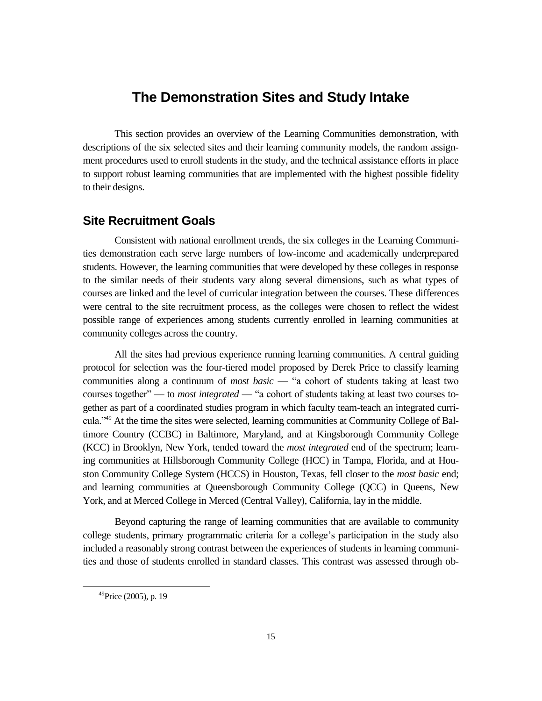### **The Demonstration Sites and Study Intake**

This section provides an overview of the Learning Communities demonstration, with descriptions of the six selected sites and their learning community models, the random assignment procedures used to enroll students in the study, and the technical assistance efforts in place to support robust learning communities that are implemented with the highest possible fidelity to their designs.

### **Site Recruitment Goals**

Consistent with national enrollment trends, the six colleges in the Learning Communities demonstration each serve large numbers of low-income and academically underprepared students. However, the learning communities that were developed by these colleges in response to the similar needs of their students vary along several dimensions, such as what types of courses are linked and the level of curricular integration between the courses. These differences were central to the site recruitment process, as the colleges were chosen to reflect the widest possible range of experiences among students currently enrolled in learning communities at community colleges across the country.

All the sites had previous experience running learning communities. A central guiding protocol for selection was the four-tiered model proposed by Derek Price to classify learning communities along a continuum of *most basic* — "a cohort of students taking at least two courses together" — to *most integrated* — "a cohort of students taking at least two courses together as part of a coordinated studies program in which faculty team-teach an integrated curricula."<sup>49</sup> At the time the sites were selected, learning communities at Community College of Baltimore Country (CCBC) in Baltimore, Maryland, and at Kingsborough Community College (KCC) in Brooklyn, New York, tended toward the *most integrated* end of the spectrum; learning communities at Hillsborough Community College (HCC) in Tampa, Florida, and at Houston Community College System (HCCS) in Houston, Texas, fell closer to the *most basic* end; and learning communities at Queensborough Community College (QCC) in Queens, New York, and at Merced College in Merced (Central Valley), California, lay in the middle.

Beyond capturing the range of learning communities that are available to community college students, primary programmatic criteria for a college's participation in the study also included a reasonably strong contrast between the experiences of students in learning communities and those of students enrolled in standard classes. This contrast was assessed through ob-

<sup>49</sup>Price (2005), p. 19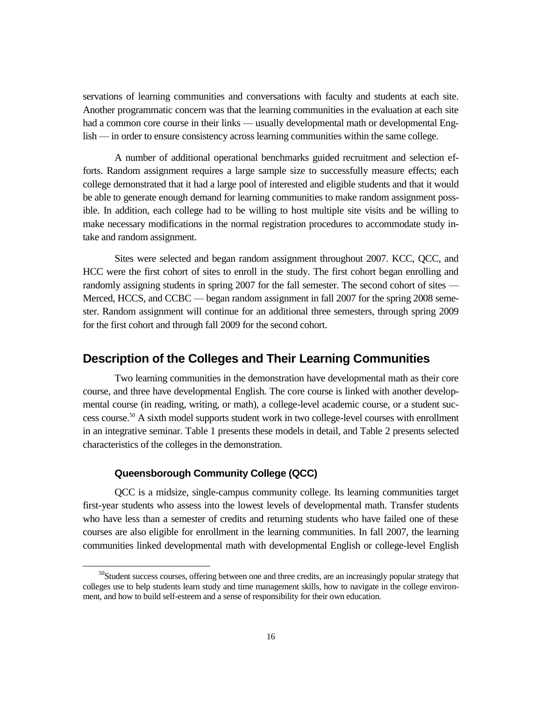servations of learning communities and conversations with faculty and students at each site. Another programmatic concern was that the learning communities in the evaluation at each site had a common core course in their links — usually developmental math or developmental English — in order to ensure consistency across learning communities within the same college.

A number of additional operational benchmarks guided recruitment and selection efforts. Random assignment requires a large sample size to successfully measure effects; each college demonstrated that it had a large pool of interested and eligible students and that it would be able to generate enough demand for learning communities to make random assignment possible. In addition, each college had to be willing to host multiple site visits and be willing to make necessary modifications in the normal registration procedures to accommodate study intake and random assignment.

Sites were selected and began random assignment throughout 2007. KCC, QCC, and HCC were the first cohort of sites to enroll in the study. The first cohort began enrolling and randomly assigning students in spring 2007 for the fall semester. The second cohort of sites — Merced, HCCS, and CCBC — began random assignment in fall 2007 for the spring 2008 semester. Random assignment will continue for an additional three semesters, through spring 2009 for the first cohort and through fall 2009 for the second cohort.

### **Description of the Colleges and Their Learning Communities**

Two learning communities in the demonstration have developmental math as their core course, and three have developmental English. The core course is linked with another developmental course (in reading, writing, or math), a college-level academic course, or a student success course.<sup>50</sup> A sixth model supports student work in two college-level courses with enrollment in an integrative seminar. Table 1 presents these models in detail, and Table 2 presents selected characteristics of the colleges in the demonstration.

### **Queensborough Community College (QCC)**

QCC is a midsize, single-campus community college. Its learning communities target first-year students who assess into the lowest levels of developmental math. Transfer students who have less than a semester of credits and returning students who have failed one of these courses are also eligible for enrollment in the learning communities. In fall 2007, the learning communities linked developmental math with developmental English or college-level English

<sup>&</sup>lt;sup>50</sup>Student success courses, offering between one and three credits, are an increasingly popular strategy that colleges use to help students learn study and time management skills, how to navigate in the college environment, and how to build self-esteem and a sense of responsibility for their own education.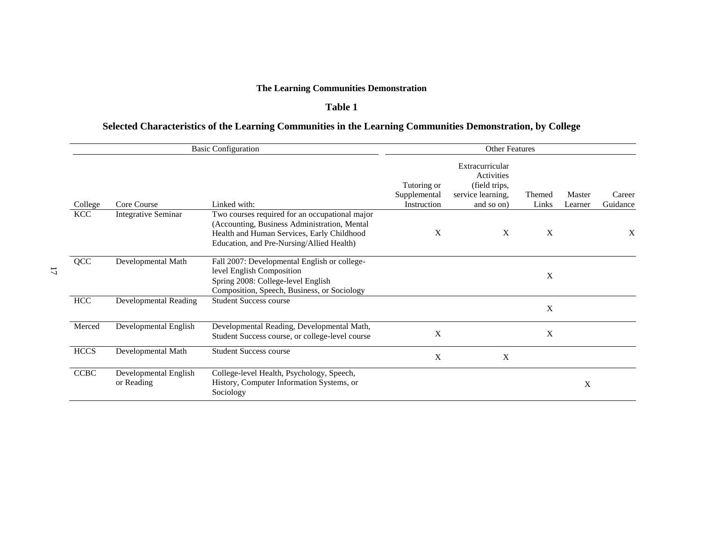### **The Learning Communities Demonstration**

### **Table 1**

### **Selected Characteristics of the Learning Communities in the Learning Communities Demonstration, by College**

|             | <b>Basic Configuration</b>          | <b>Other Features</b>                                                                                                                                                                     |                                            |                                                                                   |                 |                   |                    |  |  |
|-------------|-------------------------------------|-------------------------------------------------------------------------------------------------------------------------------------------------------------------------------------------|--------------------------------------------|-----------------------------------------------------------------------------------|-----------------|-------------------|--------------------|--|--|
| College     | Core Course                         | Linked with:                                                                                                                                                                              | Tutoring or<br>Supplemental<br>Instruction | Extracurricular<br>Activities<br>(field trips,<br>service learning,<br>and so on) | Themed<br>Links | Master<br>Learner | Career<br>Guidance |  |  |
| <b>KCC</b>  | <b>Integrative Seminar</b>          | Two courses required for an occupational major<br>(Accounting, Business Administration, Mental<br>Health and Human Services, Early Childhood<br>Education, and Pre-Nursing/Allied Health) | X                                          | X                                                                                 | X               |                   | X                  |  |  |
| QCC         | Developmental Math                  | Fall 2007: Developmental English or college-<br>level English Composition<br>Spring 2008: College-level English<br>Composition, Speech, Business, or Sociology                            |                                            |                                                                                   | X               |                   |                    |  |  |
| HCC         | <b>Developmental Reading</b>        | <b>Student Success course</b>                                                                                                                                                             |                                            |                                                                                   | X               |                   |                    |  |  |
| Merced      | Developmental English               | Developmental Reading, Developmental Math,<br>Student Success course, or college-level course                                                                                             | X                                          |                                                                                   | X               |                   |                    |  |  |
| <b>HCCS</b> | Developmental Math                  | <b>Student Success course</b>                                                                                                                                                             | X                                          | X                                                                                 |                 |                   |                    |  |  |
| <b>CCBC</b> | Developmental English<br>or Reading | College-level Health, Psychology, Speech,<br>History, Computer Information Systems, or<br>Sociology                                                                                       |                                            |                                                                                   |                 | X                 |                    |  |  |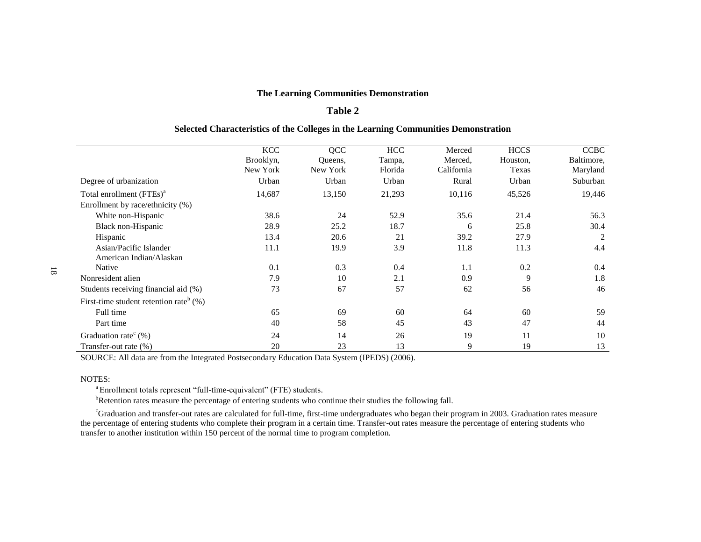### **The Learning Communities Demonstration**

### **Table 2**

#### **Selected Characteristics of the Colleges in the Learning Communities Demonstration**

|                                                       | <b>KCC</b> | QCC      | <b>HCC</b> | Merced     | <b>HCCS</b> | <b>CCBC</b> |
|-------------------------------------------------------|------------|----------|------------|------------|-------------|-------------|
|                                                       | Brooklyn,  | Queens,  | Tampa,     | Merced.    | Houston,    | Baltimore,  |
|                                                       | New York   | New York | Florida    | California | Texas       | Maryland    |
| Degree of urbanization                                | Urban      | Urban    | Urban      | Rural      | Urban       | Suburban    |
| Total enrollment (FTEs) <sup>a</sup>                  | 14,687     | 13,150   | 21,293     | 10,116     | 45,526      | 19,446      |
| Enrollment by race/ethnicity (%)                      |            |          |            |            |             |             |
| White non-Hispanic                                    | 38.6       | 24       | 52.9       | 35.6       | 21.4        | 56.3        |
| Black non-Hispanic                                    | 28.9       | 25.2     | 18.7       | 6          | 25.8        | 30.4        |
| Hispanic                                              | 13.4       | 20.6     | 21         | 39.2       | 27.9        | 2           |
| Asian/Pacific Islander                                | 11.1       | 19.9     | 3.9        | 11.8       | 11.3        | 4.4         |
| American Indian/Alaskan                               |            |          |            |            |             |             |
| Native                                                | 0.1        | 0.3      | 0.4        | 1.1        | 0.2         | 0.4         |
| Nonresident alien                                     | 7.9        | 10       | 2.1        | 0.9        | 9           | 1.8         |
| Students receiving financial aid (%)                  | 73         | 67       | 57         | 62         | 56          | 46          |
| First-time student retention rate <sup>b</sup> $(\%)$ |            |          |            |            |             |             |
| Full time                                             | 65         | 69       | 60         | 64         | 60          | 59          |
| Part time                                             | 40         | 58       | 45         | 43         | 47          | 44          |
| Graduation rate <sup>c</sup> $(\%)$                   | 24         | 14       | 26         | 19         | 11          | 10          |
| Transfer-out rate (%)                                 | 20         | 23       | 13         | 9          | 19          | 13          |

SOURCE: All data are from the Integrated Postsecondary Education Data System (IPEDS) (2006).

#### NOTES:

<sup>a</sup> Enrollment totals represent "full-time-equivalent" (FTE) students.

<sup>b</sup>Retention rates measure the percentage of entering students who continue their studies the following fall.

<sup>c</sup>Graduation and transfer-out rates are calculated for full-time, first-time undergraduates who began their program in 2003. Graduation rates measure the percentage of entering students who complete their program in a certain time. Transfer-out rates measure the percentage of entering students who transfer to another institution within 150 percent of the normal time to program completion.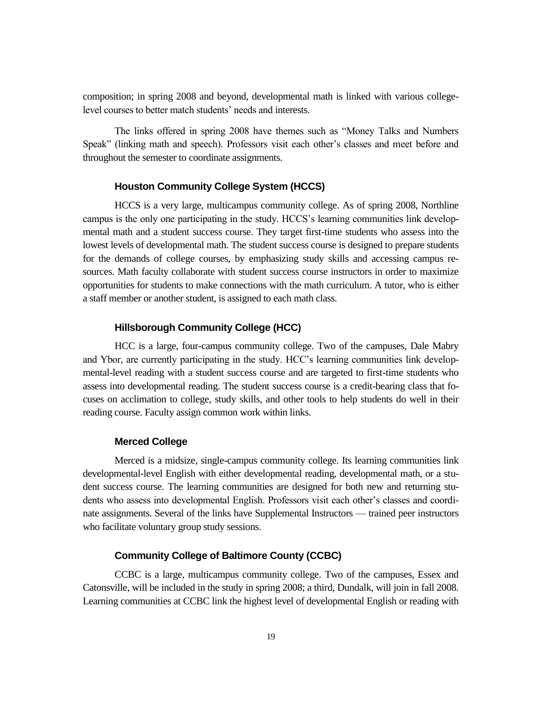composition; in spring 2008 and beyond, developmental math is linked with various collegelevel courses to better match students' needs and interests.

The links offered in spring 2008 have themes such as "Money Talks and Numbers" Speak" (linking math and speech). Professors visit each other's classes and meet before and throughout the semester to coordinate assignments.

#### **Houston Community College System (HCCS)**

HCCS is a very large, multicampus community college. As of spring 2008, Northline campus is the only one participating in the study. HCCS's learning communities link developmental math and a student success course. They target first-time students who assess into the lowest levels of developmental math. The student success course is designed to prepare students for the demands of college courses, by emphasizing study skills and accessing campus resources. Math faculty collaborate with student success course instructors in order to maximize opportunities for students to make connections with the math curriculum. A tutor, who is either a staff member or another student, is assigned to each math class.

#### **Hillsborough Community College (HCC)**

HCC is a large, four-campus community college. Two of the campuses, Dale Mabry and Ybor, are currently participating in the study. HCC's learning communities link developmental-level reading with a student success course and are targeted to first-time students who assess into developmental reading. The student success course is a credit-bearing class that focuses on acclimation to college, study skills, and other tools to help students do well in their reading course. Faculty assign common work within links.

#### **Merced College**

Merced is a midsize, single-campus community college. Its learning communities link developmental-level English with either developmental reading, developmental math, or a student success course. The learning communities are designed for both new and returning students who assess into developmental English. Professors visit each other's classes and coordinate assignments. Several of the links have Supplemental Instructors — trained peer instructors who facilitate voluntary group study sessions.

### **Community College of Baltimore County (CCBC)**

CCBC is a large, multicampus community college. Two of the campuses, Essex and Catonsville, will be included in the study in spring 2008; a third, Dundalk, will join in fall 2008. Learning communities at CCBC link the highest level of developmental English or reading with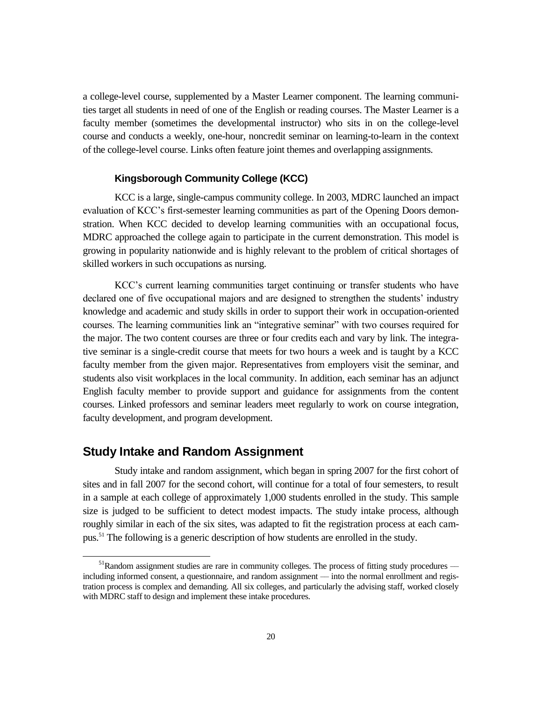a college-level course, supplemented by a Master Learner component. The learning communities target all students in need of one of the English or reading courses. The Master Learner is a faculty member (sometimes the developmental instructor) who sits in on the college-level course and conducts a weekly, one-hour, noncredit seminar on learning-to-learn in the context of the college-level course. Links often feature joint themes and overlapping assignments.

### **Kingsborough Community College (KCC)**

KCC is a large, single-campus community college. In 2003, MDRC launched an impact evaluation of KCC's first-semester learning communities as part of the Opening Doors demonstration. When KCC decided to develop learning communities with an occupational focus, MDRC approached the college again to participate in the current demonstration. This model is growing in popularity nationwide and is highly relevant to the problem of critical shortages of skilled workers in such occupations as nursing.

KCC's current learning communities target continuing or transfer students who have declared one of five occupational majors and are designed to strengthen the students' industry knowledge and academic and study skills in order to support their work in occupation-oriented courses. The learning communities link an "integrative seminar" with two courses required for the major. The two content courses are three or four credits each and vary by link. The integrative seminar is a single-credit course that meets for two hours a week and is taught by a KCC faculty member from the given major. Representatives from employers visit the seminar, and students also visit workplaces in the local community. In addition, each seminar has an adjunct English faculty member to provide support and guidance for assignments from the content courses. Linked professors and seminar leaders meet regularly to work on course integration, faculty development, and program development.

### **Study Intake and Random Assignment**

 $\overline{a}$ 

Study intake and random assignment, which began in spring 2007 for the first cohort of sites and in fall 2007 for the second cohort, will continue for a total of four semesters, to result in a sample at each college of approximately 1,000 students enrolled in the study. This sample size is judged to be sufficient to detect modest impacts. The study intake process, although roughly similar in each of the six sites, was adapted to fit the registration process at each campus.<sup>51</sup> The following is a generic description of how students are enrolled in the study.

 $<sup>51</sup>R$ andom assignment studies are rare in community colleges. The process of fitting study procedures —</sup> including informed consent, a questionnaire, and random assignment –– into the normal enrollment and registration process is complex and demanding. All six colleges, and particularly the advising staff, worked closely with MDRC staff to design and implement these intake procedures.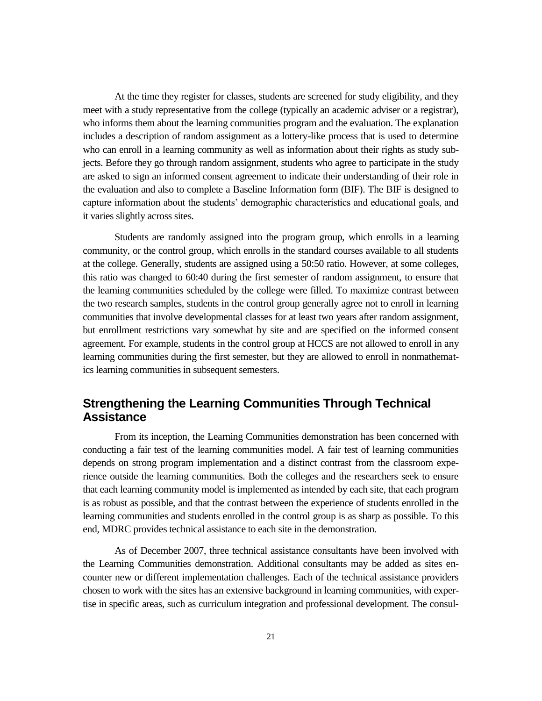At the time they register for classes, students are screened for study eligibility, and they meet with a study representative from the college (typically an academic adviser or a registrar), who informs them about the learning communities program and the evaluation. The explanation includes a description of random assignment as a lottery-like process that is used to determine who can enroll in a learning community as well as information about their rights as study subjects. Before they go through random assignment, students who agree to participate in the study are asked to sign an informed consent agreement to indicate their understanding of their role in the evaluation and also to complete a Baseline Information form (BIF). The BIF is designed to capture information about the students' demographic characteristics and educational goals, and it varies slightly across sites.

Students are randomly assigned into the program group, which enrolls in a learning community, or the control group, which enrolls in the standard courses available to all students at the college. Generally, students are assigned using a 50:50 ratio. However, at some colleges, this ratio was changed to 60:40 during the first semester of random assignment, to ensure that the learning communities scheduled by the college were filled. To maximize contrast between the two research samples, students in the control group generally agree not to enroll in learning communities that involve developmental classes for at least two years after random assignment, but enrollment restrictions vary somewhat by site and are specified on the informed consent agreement. For example, students in the control group at HCCS are not allowed to enroll in any learning communities during the first semester, but they are allowed to enroll in nonmathematics learning communities in subsequent semesters.

### **Strengthening the Learning Communities Through Technical Assistance**

From its inception, the Learning Communities demonstration has been concerned with conducting a fair test of the learning communities model. A fair test of learning communities depends on strong program implementation and a distinct contrast from the classroom experience outside the learning communities. Both the colleges and the researchers seek to ensure that each learning community model is implemented as intended by each site, that each program is as robust as possible, and that the contrast between the experience of students enrolled in the learning communities and students enrolled in the control group is as sharp as possible. To this end, MDRC provides technical assistance to each site in the demonstration.

As of December 2007, three technical assistance consultants have been involved with the Learning Communities demonstration. Additional consultants may be added as sites encounter new or different implementation challenges. Each of the technical assistance providers chosen to work with the sites has an extensive background in learning communities, with expertise in specific areas, such as curriculum integration and professional development. The consul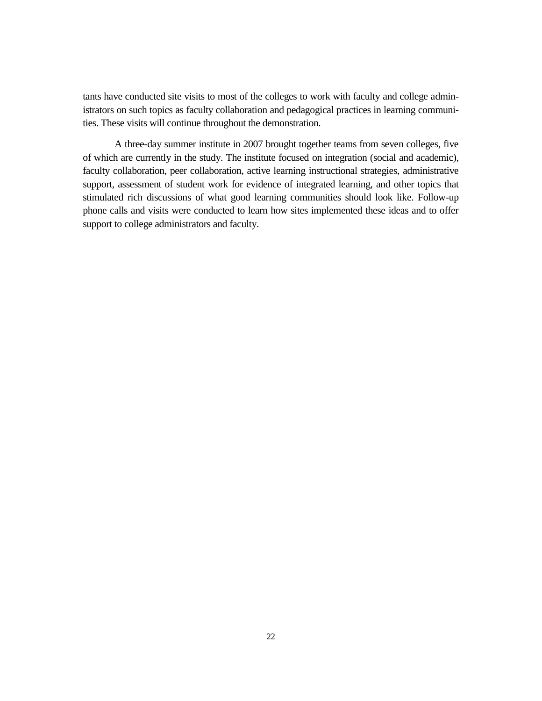tants have conducted site visits to most of the colleges to work with faculty and college administrators on such topics as faculty collaboration and pedagogical practices in learning communities. These visits will continue throughout the demonstration.

A three-day summer institute in 2007 brought together teams from seven colleges, five of which are currently in the study. The institute focused on integration (social and academic), faculty collaboration, peer collaboration, active learning instructional strategies, administrative support, assessment of student work for evidence of integrated learning, and other topics that stimulated rich discussions of what good learning communities should look like. Follow-up phone calls and visits were conducted to learn how sites implemented these ideas and to offer support to college administrators and faculty.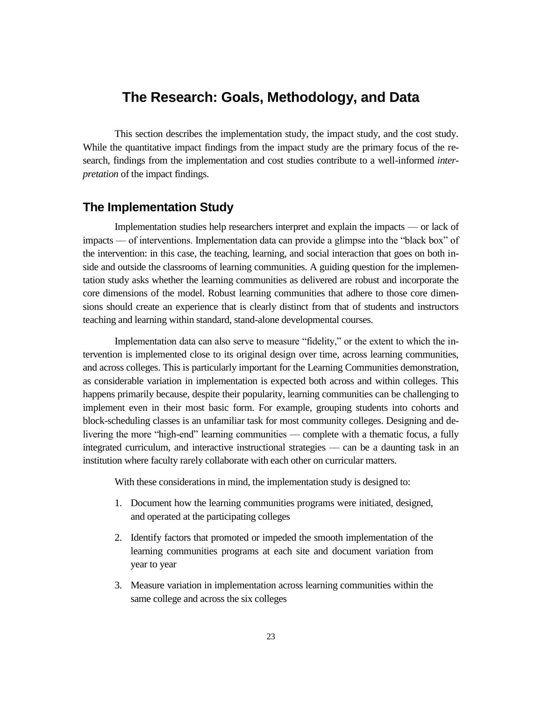## **The Research: Goals, Methodology, and Data**

This section describes the implementation study, the impact study, and the cost study. While the quantitative impact findings from the impact study are the primary focus of the research, findings from the implementation and cost studies contribute to a well-informed *interpretation* of the impact findings.

### **The Implementation Study**

Implementation studies help researchers interpret and explain the impacts — or lack of impacts — of interventions. Implementation data can provide a glimpse into the "black box" of the intervention: in this case, the teaching, learning, and social interaction that goes on both inside and outside the classrooms of learning communities. A guiding question for the implementation study asks whether the learning communities as delivered are robust and incorporate the core dimensions of the model. Robust learning communities that adhere to those core dimensions should create an experience that is clearly distinct from that of students and instructors teaching and learning within standard, stand-alone developmental courses.

Implementation data can also serve to measure "fidelity," or the extent to which the intervention is implemented close to its original design over time, across learning communities, and across colleges. This is particularly important for the Learning Communities demonstration, as considerable variation in implementation is expected both across and within colleges. This happens primarily because, despite their popularity, learning communities can be challenging to implement even in their most basic form. For example, grouping students into cohorts and block-scheduling classes is an unfamiliar task for most community colleges. Designing and delivering the more "high-end" learning communities — complete with a thematic focus, a fully integrated curriculum, and interactive instructional strategies –– can be a daunting task in an institution where faculty rarely collaborate with each other on curricular matters.

With these considerations in mind, the implementation study is designed to:

- 1. Document how the learning communities programs were initiated, designed, and operated at the participating colleges
- 2. Identify factors that promoted or impeded the smooth implementation of the learning communities programs at each site and document variation from year to year
- 3. Measure variation in implementation across learning communities within the same college and across the six colleges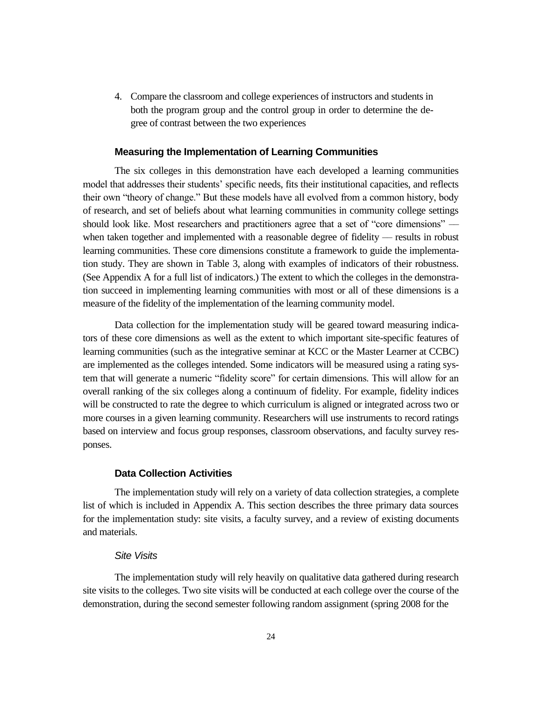4. Compare the classroom and college experiences of instructors and students in both the program group and the control group in order to determine the degree of contrast between the two experiences

#### **Measuring the Implementation of Learning Communities**

The six colleges in this demonstration have each developed a learning communities model that addresses their students' specific needs, fits their institutional capacities, and reflects their own "theory of change." But these models have all evolved from a common history, body of research, and set of beliefs about what learning communities in community college settings should look like. Most researchers and practitioners agree that a set of "core dimensions" when taken together and implemented with a reasonable degree of fidelity  $-$  results in robust learning communities. These core dimensions constitute a framework to guide the implementation study. They are shown in Table 3, along with examples of indicators of their robustness. (See Appendix A for a full list of indicators.) The extent to which the colleges in the demonstration succeed in implementing learning communities with most or all of these dimensions is a measure of the fidelity of the implementation of the learning community model.

Data collection for the implementation study will be geared toward measuring indicators of these core dimensions as well as the extent to which important site-specific features of learning communities (such as the integrative seminar at KCC or the Master Learner at CCBC) are implemented as the colleges intended. Some indicators will be measured using a rating system that will generate a numeric "fidelity score" for certain dimensions. This will allow for an overall ranking of the six colleges along a continuum of fidelity. For example, fidelity indices will be constructed to rate the degree to which curriculum is aligned or integrated across two or more courses in a given learning community. Researchers will use instruments to record ratings based on interview and focus group responses, classroom observations, and faculty survey responses.

#### **Data Collection Activities**

The implementation study will rely on a variety of data collection strategies, a complete list of which is included in Appendix A. This section describes the three primary data sources for the implementation study: site visits, a faculty survey, and a review of existing documents and materials.

#### *Site Visits*

The implementation study will rely heavily on qualitative data gathered during research site visits to the colleges. Two site visits will be conducted at each college over the course of the demonstration, during the second semester following random assignment (spring 2008 for the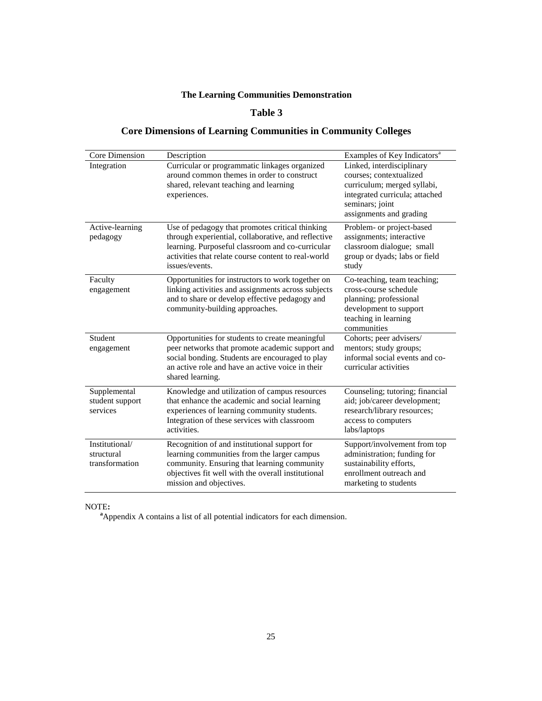### **Table 3**

### **Core Dimensions of Learning Communities in Community Colleges**

|                                                | <b>The Learning Communities Demonstration</b>                                                                                                                                                                                       |                                                                                                                                                                                                                |
|------------------------------------------------|-------------------------------------------------------------------------------------------------------------------------------------------------------------------------------------------------------------------------------------|----------------------------------------------------------------------------------------------------------------------------------------------------------------------------------------------------------------|
|                                                | Table 3                                                                                                                                                                                                                             |                                                                                                                                                                                                                |
|                                                | <b>Core Dimensions of Learning Communities in Community Colleges</b>                                                                                                                                                                |                                                                                                                                                                                                                |
| Core Dimension<br>Integration                  | Description<br>Curricular or programmatic linkages organized<br>around common themes in order to construct<br>shared, relevant teaching and learning<br>experiences.                                                                | Examples of Key Indicators <sup>a</sup><br>Linked, interdisciplinary<br>courses; contextualized<br>curriculum; merged syllabi,<br>integrated curricula; attached<br>seminars; joint<br>assignments and grading |
| Active-learning<br>pedagogy                    | Use of pedagogy that promotes critical thinking<br>through experiential, collaborative, and reflective<br>learning. Purposeful classroom and co-curricular<br>activities that relate course content to real-world<br>issues/events. | Problem- or project-based<br>assignments; interactive<br>classroom dialogue; small<br>group or dyads; labs or field<br>study                                                                                   |
| Faculty<br>engagement                          | Opportunities for instructors to work together on<br>linking activities and assignments across subjects<br>and to share or develop effective pedagogy and<br>community-building approaches.                                         | Co-teaching, team teaching;<br>cross-course schedule<br>planning; professional<br>development to support<br>teaching in learning<br>communities                                                                |
| Student<br>engagement                          | Opportunities for students to create meaningful<br>peer networks that promote academic support and<br>social bonding. Students are encouraged to play<br>an active role and have an active voice in their<br>shared learning.       | Cohorts; peer advisers/<br>mentors; study groups;<br>informal social events and co-<br>curricular activities                                                                                                   |
| Supplemental<br>student support<br>services    | Knowledge and utilization of campus resources<br>that enhance the academic and social learning<br>experiences of learning community students.<br>Integration of these services with classroom<br>activities.                        | Counseling; tutoring; financial<br>aid; job/career development;<br>research/library resources;<br>access to computers<br>labs/laptops                                                                          |
| Institutional/<br>structural<br>transformation | Recognition of and institutional support for<br>learning communities from the larger campus<br>community. Ensuring that learning community<br>objectives fit well with the overall institutional<br>mission and objectives.         | Support/involvement from top<br>administration; funding for<br>sustainability efforts,<br>enrollment outreach and<br>marketing to students                                                                     |
| NOTE:                                          | <sup>a</sup> Appendix A contains a list of all potential indicators for each dimension.                                                                                                                                             |                                                                                                                                                                                                                |
|                                                | 25                                                                                                                                                                                                                                  |                                                                                                                                                                                                                |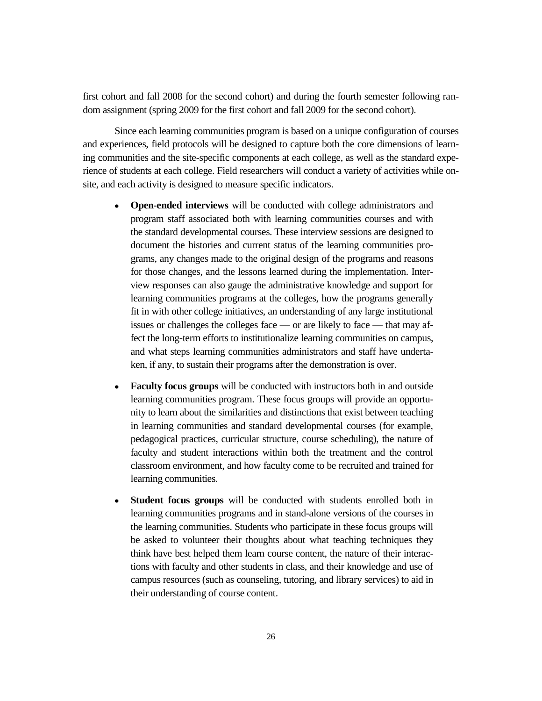first cohort and fall 2008 for the second cohort) and during the fourth semester following random assignment (spring 2009 for the first cohort and fall 2009 for the second cohort).

Since each learning communities program is based on a unique configuration of courses and experiences, field protocols will be designed to capture both the core dimensions of learning communities and the site-specific components at each college, as well as the standard experience of students at each college. Field researchers will conduct a variety of activities while onsite, and each activity is designed to measure specific indicators.

- **Open-ended interviews** will be conducted with college administrators and program staff associated both with learning communities courses and with the standard developmental courses. These interview sessions are designed to document the histories and current status of the learning communities programs, any changes made to the original design of the programs and reasons for those changes, and the lessons learned during the implementation. Interview responses can also gauge the administrative knowledge and support for learning communities programs at the colleges, how the programs generally fit in with other college initiatives, an understanding of any large institutional issues or challenges the colleges face — or are likely to face — that may affect the long-term efforts to institutionalize learning communities on campus, and what steps learning communities administrators and staff have undertaken, if any, to sustain their programs after the demonstration is over.
- **Faculty focus groups** will be conducted with instructors both in and outside learning communities program. These focus groups will provide an opportunity to learn about the similarities and distinctions that exist between teaching in learning communities and standard developmental courses (for example, pedagogical practices, curricular structure, course scheduling), the nature of faculty and student interactions within both the treatment and the control classroom environment, and how faculty come to be recruited and trained for learning communities.
- **Student focus groups** will be conducted with students enrolled both in learning communities programs and in stand-alone versions of the courses in the learning communities. Students who participate in these focus groups will be asked to volunteer their thoughts about what teaching techniques they think have best helped them learn course content, the nature of their interactions with faculty and other students in class, and their knowledge and use of campus resources (such as counseling, tutoring, and library services) to aid in their understanding of course content.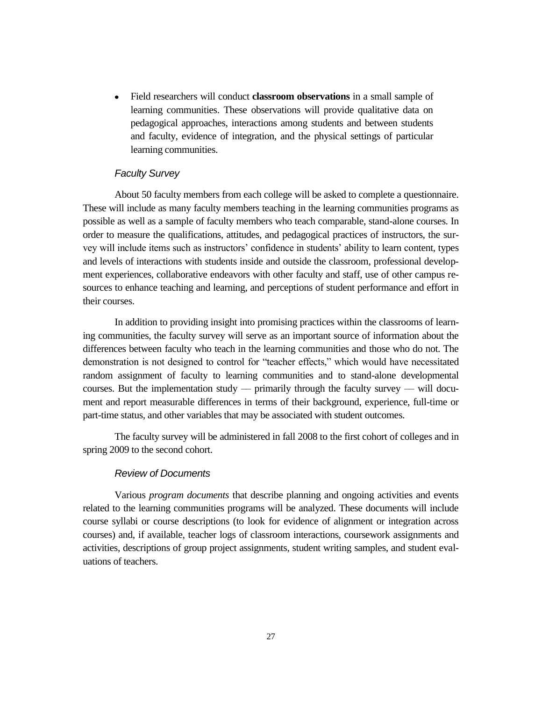Field researchers will conduct **classroom observations** in a small sample of  $\bullet$ learning communities. These observations will provide qualitative data on pedagogical approaches, interactions among students and between students and faculty, evidence of integration, and the physical settings of particular learning communities.

#### *Faculty Survey*

About 50 faculty members from each college will be asked to complete a questionnaire. These will include as many faculty members teaching in the learning communities programs as possible as well as a sample of faculty members who teach comparable, stand-alone courses. In order to measure the qualifications, attitudes, and pedagogical practices of instructors, the survey will include items such as instructors' confidence in students' ability to learn content, types and levels of interactions with students inside and outside the classroom, professional development experiences, collaborative endeavors with other faculty and staff, use of other campus resources to enhance teaching and learning, and perceptions of student performance and effort in their courses.

In addition to providing insight into promising practices within the classrooms of learning communities, the faculty survey will serve as an important source of information about the differences between faculty who teach in the learning communities and those who do not. The demonstration is not designed to control for "teacher effects," which would have necessitated random assignment of faculty to learning communities and to stand-alone developmental courses. But the implementation study — primarily through the faculty survey — will document and report measurable differences in terms of their background, experience, full-time or part-time status, and other variables that may be associated with student outcomes.

The faculty survey will be administered in fall 2008 to the first cohort of colleges and in spring 2009 to the second cohort.

#### *Review of Documents*

Various *program documents* that describe planning and ongoing activities and events related to the learning communities programs will be analyzed. These documents will include course syllabi or course descriptions (to look for evidence of alignment or integration across courses) and, if available, teacher logs of classroom interactions, coursework assignments and activities, descriptions of group project assignments, student writing samples, and student evaluations of teachers.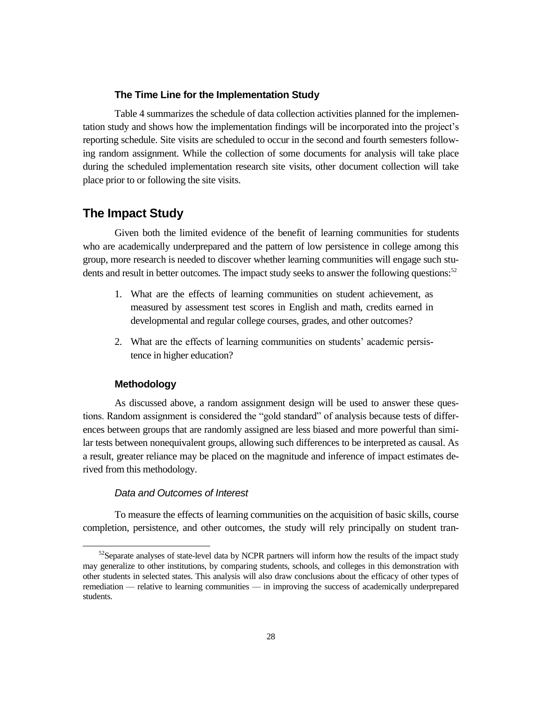#### **The Time Line for the Implementation Study**

Table 4 summarizes the schedule of data collection activities planned for the implementation study and shows how the implementation findings will be incorporated into the project's reporting schedule. Site visits are scheduled to occur in the second and fourth semesters following random assignment. While the collection of some documents for analysis will take place during the scheduled implementation research site visits, other document collection will take place prior to or following the site visits.

### **The Impact Study**

Given both the limited evidence of the benefit of learning communities for students who are academically underprepared and the pattern of low persistence in college among this group, more research is needed to discover whether learning communities will engage such students and result in better outcomes. The impact study seeks to answer the following questions:<sup>52</sup>

- 1. What are the effects of learning communities on student achievement, as measured by assessment test scores in English and math, credits earned in developmental and regular college courses, grades, and other outcomes?
- 2. What are the effects of learning communities on students' academic persistence in higher education?

### **Methodology**

As discussed above, a random assignment design will be used to answer these questions. Random assignment is considered the "gold standard" of analysis because tests of differences between groups that are randomly assigned are less biased and more powerful than similar tests between nonequivalent groups, allowing such differences to be interpreted as causal. As a result, greater reliance may be placed on the magnitude and inference of impact estimates derived from this methodology.

#### *Data and Outcomes of Interest*

To measure the effects of learning communities on the acquisition of basic skills, course completion, persistence, and other outcomes, the study will rely principally on student tran-

 $52$ Separate analyses of state-level data by NCPR partners will inform how the results of the impact study may generalize to other institutions, by comparing students, schools, and colleges in this demonstration with other students in selected states. This analysis will also draw conclusions about the efficacy of other types of remediation –– relative to learning communities –– in improving the success of academically underprepared students.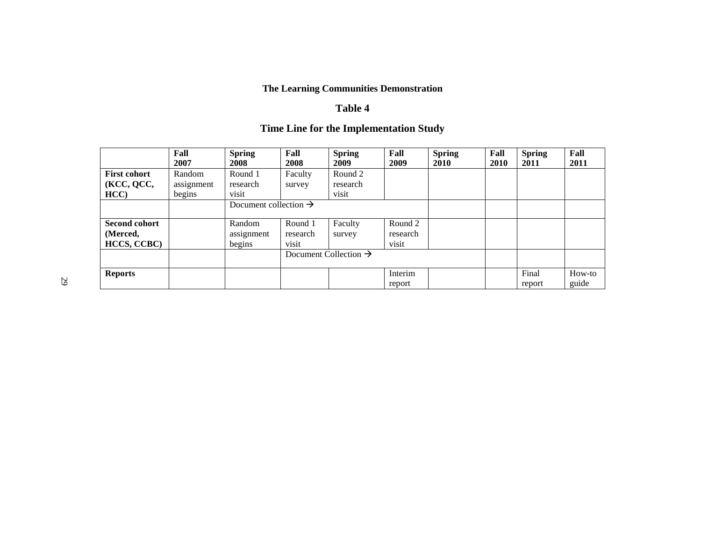### **The Learning Communities Demonstration**

### **Table 4**

# **Time Line for the Implementation Study**

|                      | Fall       | <b>Spring</b>                     | Fall     | <b>Spring</b>                     | Fall     | <b>Spring</b> | Fall | <b>Spring</b> | Fall   |
|----------------------|------------|-----------------------------------|----------|-----------------------------------|----------|---------------|------|---------------|--------|
|                      | 2007       | 2008                              | 2008     | 2009                              | 2009     | 2010          | 2010 | 2011          | 2011   |
| <b>First cohort</b>  | Random     | Round 1                           | Faculty  | Round 2                           |          |               |      |               |        |
| (KCC, QCC,           | assignment | research                          | survey   | research                          |          |               |      |               |        |
| HCC)                 | begins     | visit                             |          | visit                             |          |               |      |               |        |
|                      |            | Document collection $\rightarrow$ |          |                                   |          |               |      |               |        |
|                      |            |                                   |          |                                   |          |               |      |               |        |
| <b>Second cohort</b> |            | Random                            | Round 1  | Faculty                           | Round 2  |               |      |               |        |
| (Merced,             |            | assignment                        | research | survey                            | research |               |      |               |        |
| <b>HCCS, CCBC)</b>   |            | begins                            | visit    |                                   | visit    |               |      |               |        |
|                      |            |                                   |          | Document Collection $\rightarrow$ |          |               |      |               |        |
|                      |            |                                   |          |                                   |          |               |      |               |        |
| <b>Reports</b>       |            |                                   |          |                                   | Interim  |               |      | Final         | How-to |
|                      |            |                                   |          |                                   | report   |               |      | report        | guide  |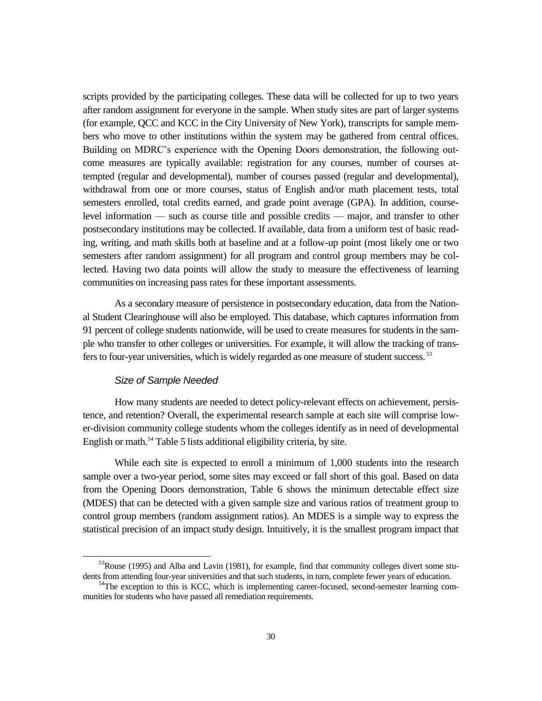scripts provided by the participating colleges. These data will be collected for up to two years after random assignment for everyone in the sample. When study sites are part of larger systems (for example, QCC and KCC in the City University of New York), transcripts for sample members who move to other institutions within the system may be gathered from central offices. Building on MDRC's experience with the Opening Doors demonstration, the following outcome measures are typically available: registration for any courses, number of courses attempted (regular and developmental), number of courses passed (regular and developmental), withdrawal from one or more courses, status of English and/or math placement tests, total semesters enrolled, total credits earned, and grade point average (GPA). In addition, courselevel information –– such as course title and possible credits –– major, and transfer to other postsecondary institutions may be collected. If available, data from a uniform test of basic reading, writing, and math skills both at baseline and at a follow-up point (most likely one or two semesters after random assignment) for all program and control group members may be collected. Having two data points will allow the study to measure the effectiveness of learning communities on increasing pass rates for these important assessments.

As a secondary measure of persistence in postsecondary education, data from the National Student Clearinghouse will also be employed. This database, which captures information from 91 percent of college students nationwide, will be used to create measures for students in the sample who transfer to other colleges or universities. For example, it will allow the tracking of transfers to four-year universities, which is widely regarded as one measure of student success. <sup>53</sup>

#### *Size of Sample Needed*

 $\overline{a}$ 

How many students are needed to detect policy-relevant effects on achievement, persistence, and retention? Overall, the experimental research sample at each site will comprise lower-division community college students whom the colleges identify as in need of developmental English or math.<sup>54</sup> Table 5 lists additional eligibility criteria, by site.

While each site is expected to enroll a minimum of 1,000 students into the research sample over a two-year period, some sites may exceed or fall short of this goal. Based on data from the Opening Doors demonstration, Table 6 shows the minimum detectable effect size (MDES) that can be detected with a given sample size and various ratios of treatment group to control group members (random assignment ratios). An MDES is a simple way to express the statistical precision of an impact study design. Intuitively, it is the smallest program impact that

 $53$ Rouse (1995) and Alba and Lavin (1981), for example, find that community colleges divert some students from attending four-year universities and that such students, in turn, complete fewer years of education.

<sup>&</sup>lt;sup>54</sup>The exception to this is KCC, which is implementing career-focused, second-semester learning communities for students who have passed all remediation requirements.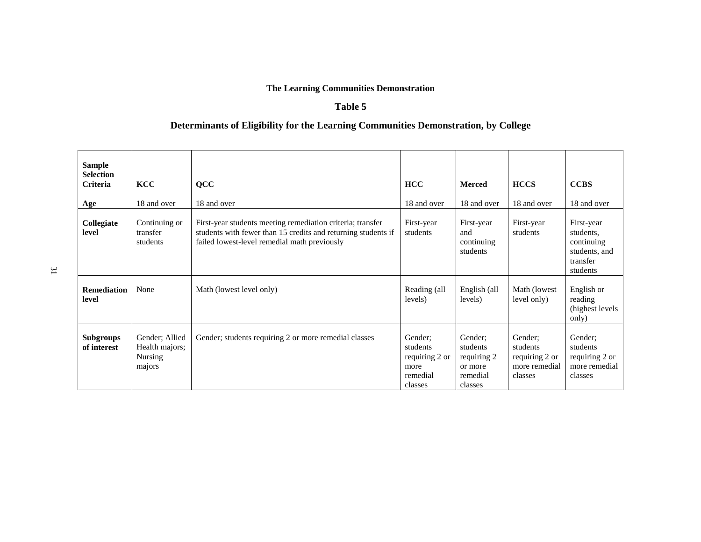### **The Learning Communities Demonstration**

### **Table 5**

### **Determinants of Eligibility for the Learning Communities Demonstration, by College**

| <b>Sample</b><br><b>Selection</b><br>Criteria | <b>KCC</b>                                            | <b>QCC</b>                                                                                                                                                                  | <b>HCC</b>                                                           | <b>Merced</b>                                                        | <b>HCCS</b>                                                       | <b>CCBS</b>                                                                    |
|-----------------------------------------------|-------------------------------------------------------|-----------------------------------------------------------------------------------------------------------------------------------------------------------------------------|----------------------------------------------------------------------|----------------------------------------------------------------------|-------------------------------------------------------------------|--------------------------------------------------------------------------------|
| Age                                           | 18 and over                                           | 18 and over                                                                                                                                                                 | 18 and over                                                          | 18 and over                                                          | 18 and over                                                       | 18 and over                                                                    |
| Collegiate<br>level                           | Continuing or<br>transfer<br>students                 | First-year students meeting remediation criteria; transfer<br>students with fewer than 15 credits and returning students if<br>failed lowest-level remedial math previously | First-year<br>students                                               | First-year<br>and<br>continuing<br>students                          | First-year<br>students                                            | First-year<br>students.<br>continuing<br>students, and<br>transfer<br>students |
| <b>Remediation</b><br>level                   | None                                                  | Math (lowest level only)                                                                                                                                                    | Reading (all<br>levels)                                              | English (all<br>levels)                                              | Math (lowest<br>level only)                                       | English or<br>reading<br>(highest levels)<br>only)                             |
| <b>Subgroups</b><br>of interest               | Gender; Allied<br>Health majors;<br>Nursing<br>majors | Gender; students requiring 2 or more remedial classes                                                                                                                       | Gender:<br>students<br>requiring 2 or<br>more<br>remedial<br>classes | Gender:<br>students<br>requiring 2<br>or more<br>remedial<br>classes | Gender:<br>students<br>requiring 2 or<br>more remedial<br>classes | Gender:<br>students<br>requiring 2 or<br>more remedial<br>classes              |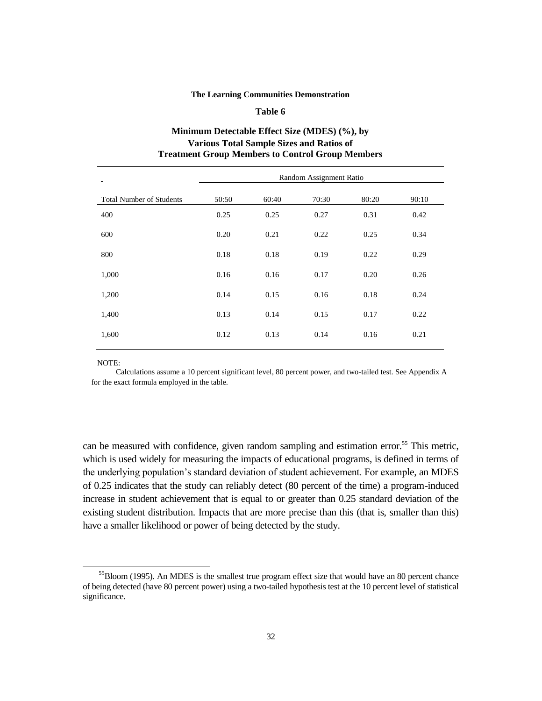#### **The Learning Communities Demonstration**

#### **Table 6**

### **Minimum Detectable Effect Size (MDES) (%), by Various Total Sample Sizes and Ratios of Treatment Group Members to Control Group Members**

|                                 |       |       | Random Assignment Ratio |       |       |
|---------------------------------|-------|-------|-------------------------|-------|-------|
| <b>Total Number of Students</b> | 50:50 | 60:40 | 70:30                   | 80:20 | 90:10 |
| 400                             | 0.25  | 0.25  | 0.27                    | 0.31  | 0.42  |
| 600                             | 0.20  | 0.21  | 0.22                    | 0.25  | 0.34  |
| 800                             | 0.18  | 0.18  | 0.19                    | 0.22  | 0.29  |
| 1,000                           | 0.16  | 0.16  | 0.17                    | 0.20  | 0.26  |
| 1,200                           | 0.14  | 0.15  | 0.16                    | 0.18  | 0.24  |
| 1,400                           | 0.13  | 0.14  | 0.15                    | 0.17  | 0.22  |
| 1,600                           | 0.12  | 0.13  | 0.14                    | 0.16  | 0.21  |

NOTE:

Calculations assume a 10 percent significant level, 80 percent power, and two-tailed test. See Appendix A for the exact formula employed in the table.

can be measured with confidence, given random sampling and estimation error.<sup>55</sup> This metric, which is used widely for measuring the impacts of educational programs, is defined in terms of the underlying population's standard deviation of student achievement. For example, an MDES of 0.25 indicates that the study can reliably detect (80 percent of the time) a program-induced increase in student achievement that is equal to or greater than 0.25 standard deviation of the existing student distribution. Impacts that are more precise than this (that is, smaller than this) have a smaller likelihood or power of being detected by the study.

<sup>&</sup>lt;sup>55</sup>Bloom (1995). An MDES is the smallest true program effect size that would have an 80 percent chance of being detected (have 80 percent power) using a two-tailed hypothesis test at the 10 percent level of statistical significance.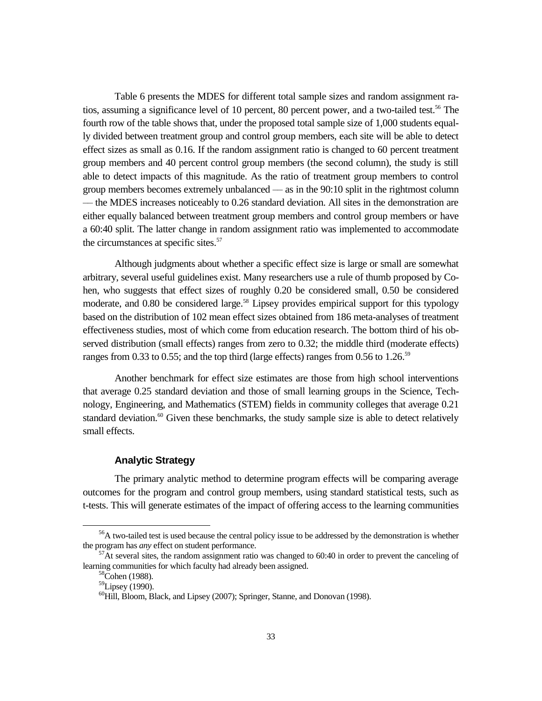Table 6 presents the MDES for different total sample sizes and random assignment ratios, assuming a significance level of 10 percent, 80 percent power, and a two-tailed test.<sup>56</sup> The fourth row of the table shows that, under the proposed total sample size of 1,000 students equally divided between treatment group and control group members, each site will be able to detect effect sizes as small as 0.16. If the random assignment ratio is changed to 60 percent treatment group members and 40 percent control group members (the second column), the study is still able to detect impacts of this magnitude. As the ratio of treatment group members to control group members becomes extremely unbalanced –– as in the 90:10 split in the rightmost column –– the MDES increases noticeably to 0.26 standard deviation. All sites in the demonstration are either equally balanced between treatment group members and control group members or have a 60:40 split. The latter change in random assignment ratio was implemented to accommodate the circumstances at specific sites.<sup>57</sup>

Although judgments about whether a specific effect size is large or small are somewhat arbitrary, several useful guidelines exist. Many researchers use a rule of thumb proposed by Cohen, who suggests that effect sizes of roughly 0.20 be considered small, 0.50 be considered moderate, and 0.80 be considered large.<sup>58</sup> Lipsey provides empirical support for this typology based on the distribution of 102 mean effect sizes obtained from 186 meta-analyses of treatment effectiveness studies, most of which come from education research. The bottom third of his observed distribution (small effects) ranges from zero to 0.32; the middle third (moderate effects) ranges from 0.33 to 0.55; and the top third (large effects) ranges from 0.56 to 1.26.<sup>59</sup>

Another benchmark for effect size estimates are those from high school interventions that average 0.25 standard deviation and those of small learning groups in the Science, Technology, Engineering, and Mathematics (STEM) fields in community colleges that average 0.21 standard deviation.<sup>60</sup> Given these benchmarks, the study sample size is able to detect relatively small effects.

#### **Analytic Strategy**

The primary analytic method to determine program effects will be comparing average outcomes for the program and control group members, using standard statistical tests, such as t-tests. This will generate estimates of the impact of offering access to the learning communities

<sup>&</sup>lt;sup>56</sup>A two-tailed test is used because the central policy issue to be addressed by the demonstration is whether the program has *any* effect on student performance.

 $57$ At several sites, the random assignment ratio was changed to 60:40 in order to prevent the canceling of learning communities for which faculty had already been assigned.

 $58^{\circ}$ Cohen (1988).

 $59$ Lipsey (1990).

<sup>60</sup>Hill, Bloom, Black, and Lipsey (2007); Springer, Stanne, and Donovan (1998).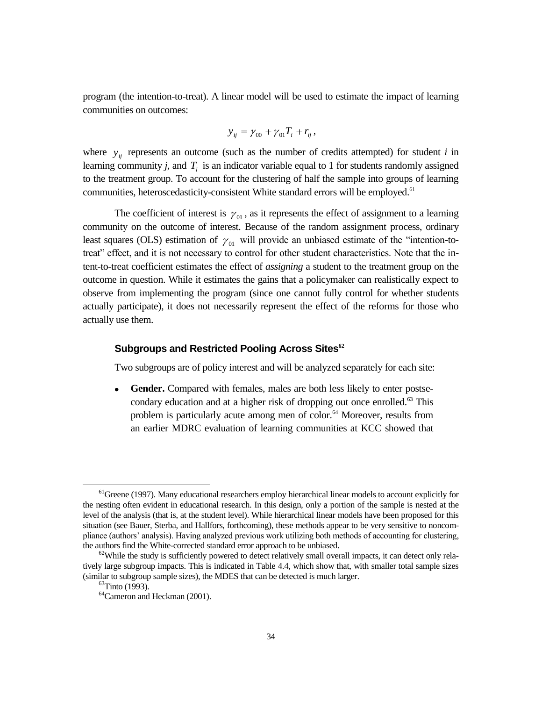program (the intention-to-treat). A linear model will be used to estimate the impact of learning communities on outcomes:

$$
y_{ij} = \gamma_{00} + \gamma_{01} T_i + r_{ij},
$$

where  $y_{ij}$  represents an outcome (such as the number of credits attempted) for student *i* in learning community *j,* and *Ti* is an indicator variable equal to 1 for students randomly assigned to the treatment group. To account for the clustering of half the sample into groups of learning communities, heteroscedasticity-consistent White standard errors will be employed.<sup>61</sup>

The coefficient of interest is  $\gamma_{01}$ , as it represents the effect of assignment to a learning community on the outcome of interest. Because of the random assignment process, ordinary least squares (OLS) estimation of  $\gamma_{01}$  will provide an unbiased estimate of the "intention-totreat" effect, and it is not necessary to control for other student characteristics. Note that the intent-to-treat coefficient estimates the effect of *assigning* a student to the treatment group on the outcome in question. While it estimates the gains that a policymaker can realistically expect to observe from implementing the program (since one cannot fully control for whether students actually participate), it does not necessarily represent the effect of the reforms for those who actually use them.

### **Subgroups and Restricted Pooling Across Sites<sup>62</sup>**

Two subgroups are of policy interest and will be analyzed separately for each site:

Gender. Compared with females, males are both less likely to enter postsecondary education and at a higher risk of dropping out once enrolled.<sup>63</sup> This problem is particularly acute among men of color.<sup>64</sup> Moreover, results from an earlier MDRC evaluation of learning communities at KCC showed that

 $<sup>61</sup>$ Greene (1997). Many educational researchers employ hierarchical linear models to account explicitly for</sup> the nesting often evident in educational research. In this design, only a portion of the sample is nested at the level of the analysis (that is, at the student level). While hierarchical linear models have been proposed for this situation (see Bauer, Sterba, and Hallfors, forthcoming), these methods appear to be very sensitive to noncompliance (authors' analysis). Having analyzed previous work utilizing both methods of accounting for clustering, the authors find the White-corrected standard error approach to be unbiased.

 $62$ While the study is sufficiently powered to detect relatively small overall impacts, it can detect only relatively large subgroup impacts. This is indicated in Table 4.4, which show that, with smaller total sample sizes (similar to subgroup sample sizes), the MDES that can be detected is much larger.

 $^{63}$ Tinto (1993).

<sup>64</sup>Cameron and Heckman (2001).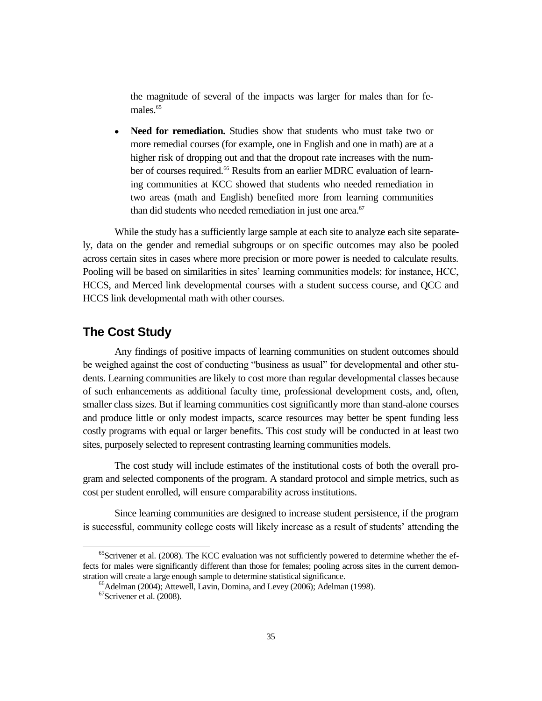the magnitude of several of the impacts was larger for males than for females<sup>65</sup>

**Need for remediation.** Studies show that students who must take two or more remedial courses (for example, one in English and one in math) are at a higher risk of dropping out and that the dropout rate increases with the number of courses required.<sup>66</sup> Results from an earlier MDRC evaluation of learning communities at KCC showed that students who needed remediation in two areas (math and English) benefited more from learning communities than did students who needed remediation in just one area. $67$ 

While the study has a sufficiently large sample at each site to analyze each site separately, data on the gender and remedial subgroups or on specific outcomes may also be pooled across certain sites in cases where more precision or more power is needed to calculate results. Pooling will be based on similarities in sites' learning communities models; for instance, HCC, HCCS, and Merced link developmental courses with a student success course, and QCC and HCCS link developmental math with other courses.

### **The Cost Study**

Any findings of positive impacts of learning communities on student outcomes should be weighed against the cost of conducting "business as usual" for developmental and other students. Learning communities are likely to cost more than regular developmental classes because of such enhancements as additional faculty time, professional development costs, and, often, smaller class sizes. But if learning communities cost significantly more than stand-alone courses and produce little or only modest impacts, scarce resources may better be spent funding less costly programs with equal or larger benefits. This cost study will be conducted in at least two sites, purposely selected to represent contrasting learning communities models.

The cost study will include estimates of the institutional costs of both the overall program and selected components of the program. A standard protocol and simple metrics, such as cost per student enrolled, will ensure comparability across institutions.

Since learning communities are designed to increase student persistence, if the program is successful, community college costs will likely increase as a result of students' attending the

 $<sup>65</sup>$ Scrivener et al. (2008). The KCC evaluation was not sufficiently powered to determine whether the ef-</sup> fects for males were significantly different than those for females; pooling across sites in the current demonstration will create a large enough sample to determine statistical significance.

<sup>&</sup>lt;sup>66</sup>Adelman (2004); Attewell, Lavin, Domina, and Levey (2006); Adelman (1998).

<sup>67</sup>Scrivener et al. (2008).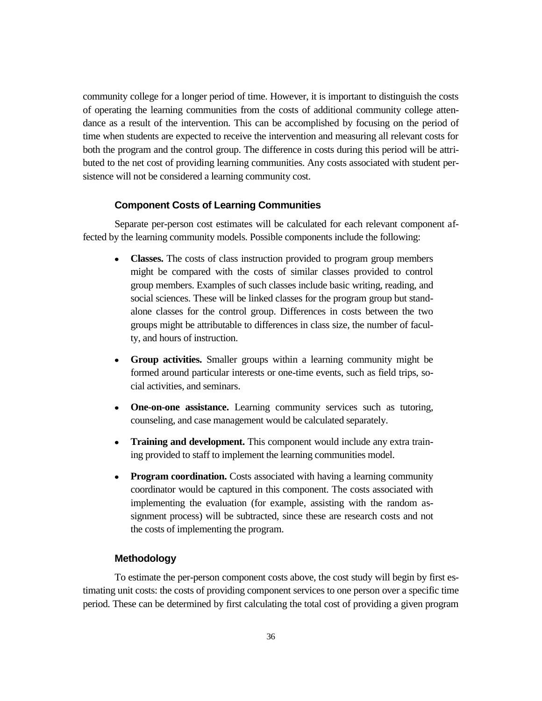community college for a longer period of time. However, it is important to distinguish the costs of operating the learning communities from the costs of additional community college attendance as a result of the intervention. This can be accomplished by focusing on the period of time when students are expected to receive the intervention and measuring all relevant costs for both the program and the control group. The difference in costs during this period will be attributed to the net cost of providing learning communities. Any costs associated with student persistence will not be considered a learning community cost.

#### **Component Costs of Learning Communities**

Separate per-person cost estimates will be calculated for each relevant component affected by the learning community models. Possible components include the following:

- **Classes.** The costs of class instruction provided to program group members might be compared with the costs of similar classes provided to control group members. Examples of such classes include basic writing, reading, and social sciences. These will be linked classes for the program group but standalone classes for the control group. Differences in costs between the two groups might be attributable to differences in class size, the number of faculty, and hours of instruction.
- **Group activities.** Smaller groups within a learning community might be formed around particular interests or one-time events, such as field trips, social activities, and seminars.
- **One-on-one assistance.** Learning community services such as tutoring, counseling, and case management would be calculated separately.
- **Training and development.** This component would include any extra training provided to staff to implement the learning communities model.
- **Program coordination.** Costs associated with having a learning community coordinator would be captured in this component. The costs associated with implementing the evaluation (for example, assisting with the random assignment process) will be subtracted, since these are research costs and not the costs of implementing the program.

#### **Methodology**

To estimate the per-person component costs above, the cost study will begin by first estimating unit costs: the costs of providing component services to one person over a specific time period. These can be determined by first calculating the total cost of providing a given program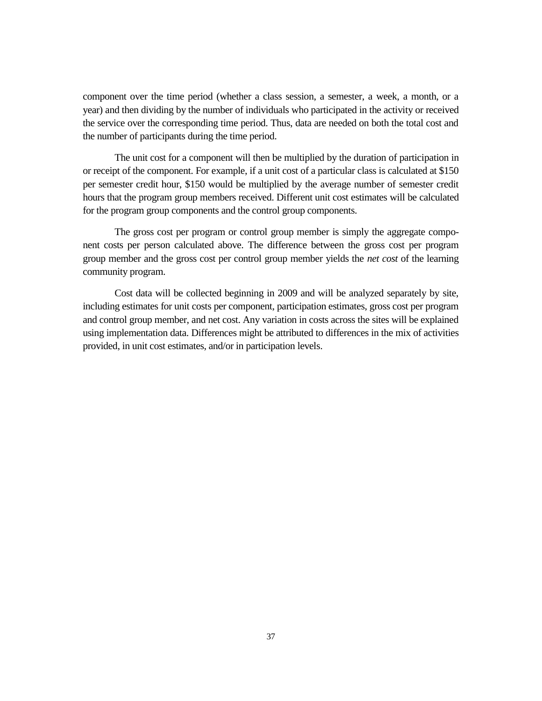component over the time period (whether a class session, a semester, a week, a month, or a year) and then dividing by the number of individuals who participated in the activity or received the service over the corresponding time period. Thus, data are needed on both the total cost and the number of participants during the time period.

The unit cost for a component will then be multiplied by the duration of participation in or receipt of the component. For example, if a unit cost of a particular class is calculated at \$150 per semester credit hour, \$150 would be multiplied by the average number of semester credit hours that the program group members received. Different unit cost estimates will be calculated for the program group components and the control group components.

The gross cost per program or control group member is simply the aggregate component costs per person calculated above. The difference between the gross cost per program group member and the gross cost per control group member yields the *net cost* of the learning community program.

Cost data will be collected beginning in 2009 and will be analyzed separately by site, including estimates for unit costs per component, participation estimates, gross cost per program and control group member, and net cost. Any variation in costs across the sites will be explained using implementation data. Differences might be attributed to differences in the mix of activities provided, in unit cost estimates, and/or in participation levels.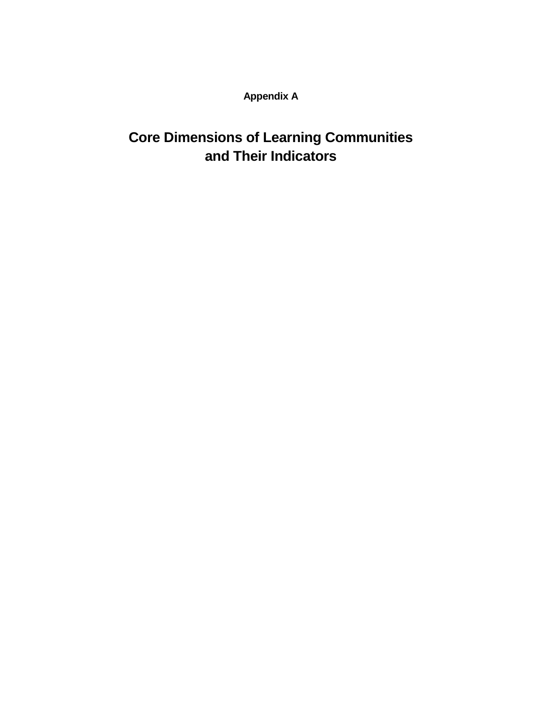**Appendix A**

# **Core Dimensions of Learning Communities and Their Indicators**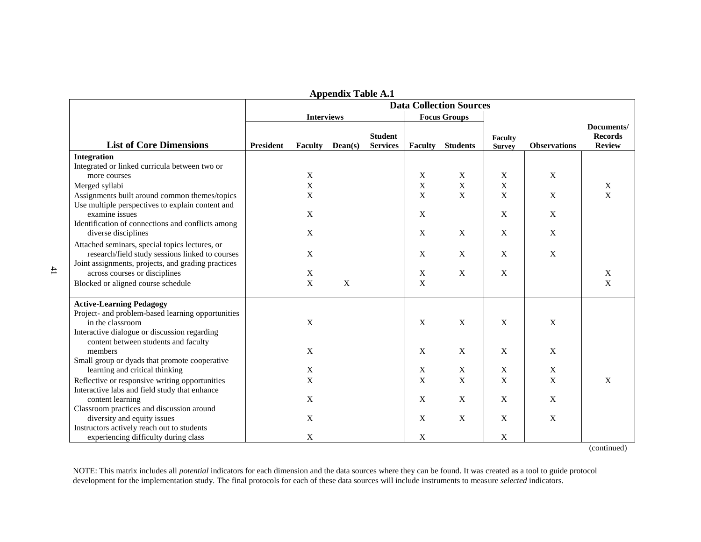|                                                    | <b>Data Collection Sources</b> |                        |             |                                   |                           |                         |                                 |                     |                                               |
|----------------------------------------------------|--------------------------------|------------------------|-------------|-----------------------------------|---------------------------|-------------------------|---------------------------------|---------------------|-----------------------------------------------|
|                                                    |                                | <b>Interviews</b>      |             |                                   | <b>Focus Groups</b>       |                         |                                 |                     |                                               |
| <b>List of Core Dimensions</b>                     | <b>President</b>               | <b>Faculty</b> Dean(s) |             | <b>Student</b><br><b>Services</b> |                           | <b>Faculty</b> Students | <b>Faculty</b><br><b>Survey</b> | <b>Observations</b> | Documents/<br><b>Records</b><br><b>Review</b> |
| Integration                                        |                                |                        |             |                                   |                           |                         |                                 |                     |                                               |
| Integrated or linked curricula between two or      |                                |                        |             |                                   |                           |                         |                                 |                     |                                               |
| more courses                                       |                                | X                      |             |                                   | X                         | X                       | X                               | X                   |                                               |
| Merged syllabi                                     |                                | $\mathbf X$            |             |                                   | $\mathbf X$               | $\mathbf X$             | X                               |                     | X                                             |
| Assignments built around common themes/topics      |                                | $\mathbf X$            |             |                                   | $\mathbf X$               | $\mathbf X$             | $\mathbf X$                     | X                   | $\mathbf X$                                   |
| Use multiple perspectives to explain content and   |                                |                        |             |                                   |                           |                         |                                 |                     |                                               |
| examine issues                                     |                                | $\mathbf X$            |             |                                   | X                         |                         | $\mathbf X$                     | $\mathbf X$         |                                               |
| Identification of connections and conflicts among  |                                |                        |             |                                   |                           |                         |                                 |                     |                                               |
| diverse disciplines                                |                                | X                      |             |                                   | X                         | X                       | X                               | X                   |                                               |
| Attached seminars, special topics lectures, or     |                                |                        |             |                                   |                           |                         |                                 |                     |                                               |
| research/field study sessions linked to courses    |                                | X                      |             |                                   | X                         | X                       | $\mathbf X$                     | X                   |                                               |
| Joint assignments, projects, and grading practices |                                |                        |             |                                   |                           |                         |                                 |                     |                                               |
| across courses or disciplines                      |                                | X                      |             |                                   | X                         | $\mathbf X$             | X                               |                     | X                                             |
| Blocked or aligned course schedule                 |                                | $\mathbf X$            | $\mathbf X$ |                                   | $\boldsymbol{\mathrm{X}}$ |                         |                                 |                     | $\mathbf X$                                   |
| <b>Active-Learning Pedagogy</b>                    |                                |                        |             |                                   |                           |                         |                                 |                     |                                               |
| Project- and problem-based learning opportunities  |                                |                        |             |                                   |                           |                         |                                 |                     |                                               |
| in the classroom                                   |                                | $\mathbf X$            |             |                                   | $\mathbf X$               | $\mathbf X$             | $\mathbf X$                     | $\mathbf X$         |                                               |
| Interactive dialogue or discussion regarding       |                                |                        |             |                                   |                           |                         |                                 |                     |                                               |
| content between students and faculty               |                                |                        |             |                                   |                           |                         |                                 |                     |                                               |
| members                                            |                                | X                      |             |                                   | $\mathbf X$               | $\mathbf X$             | $\mathbf X$                     | $\mathbf X$         |                                               |
| Small group or dyads that promote cooperative      |                                |                        |             |                                   |                           |                         |                                 |                     |                                               |
| learning and critical thinking                     |                                | $\mathbf X$            |             |                                   | $\mathbf X$               | $\mathbf X$             | $\mathbf X$                     | $\mathbf X$         |                                               |
| Reflective or responsive writing opportunities     |                                | $\mathbf X$            |             |                                   | $\boldsymbol{\mathrm{X}}$ | $\mathbf X$             | $\mathbf X$                     | X                   | X                                             |
| Interactive labs and field study that enhance      |                                |                        |             |                                   |                           |                         |                                 |                     |                                               |
| content learning                                   |                                | X                      |             |                                   | X                         | X                       | X                               | X                   |                                               |
| Classroom practices and discussion around          |                                |                        |             |                                   |                           |                         |                                 |                     |                                               |
| diversity and equity issues                        |                                | $\mathbf X$            |             |                                   | X                         | $\mathbf X$             | $\mathbf X$                     | X                   |                                               |
| Instructors actively reach out to students         |                                |                        |             |                                   |                           |                         |                                 |                     |                                               |
| experiencing difficulty during class               |                                | $\mathbf X$            |             |                                   | $\mathbf X$               |                         | $\mathbf X$                     |                     |                                               |
|                                                    |                                |                        |             |                                   |                           |                         |                                 |                     | (continued)                                   |

**Appendix Table A.1**

NOTE: This matrix includes all *potential* indicators for each dimension and the data sources where they can be found. It was created as a tool to guide protocol development for the implementation study. The final protocol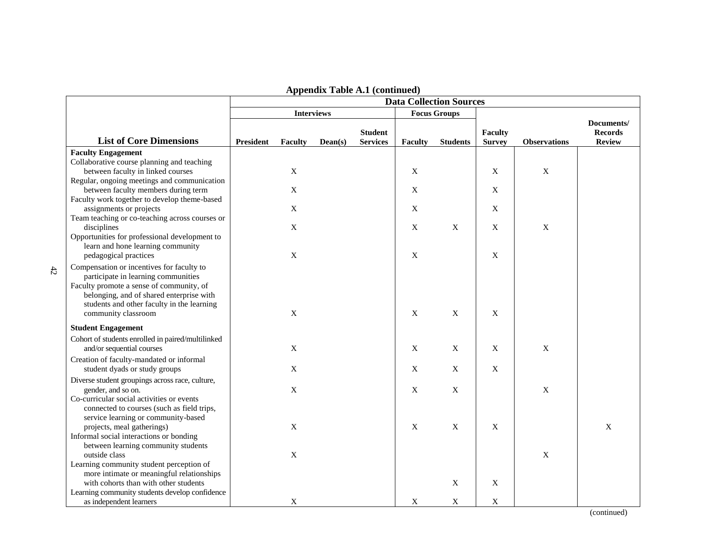|                                                                                       |                  |                   |         |                                   |                           | <b>Data Collection Sources</b> |                                 |                     |                                               |
|---------------------------------------------------------------------------------------|------------------|-------------------|---------|-----------------------------------|---------------------------|--------------------------------|---------------------------------|---------------------|-----------------------------------------------|
|                                                                                       |                  | <b>Interviews</b> |         |                                   |                           | <b>Focus Groups</b>            |                                 |                     |                                               |
| <b>List of Core Dimensions</b>                                                        | <b>President</b> | Faculty           | Dean(s) | <b>Student</b><br><b>Services</b> | Faculty                   | <b>Students</b>                | <b>Faculty</b><br><b>Survey</b> | <b>Observations</b> | Documents/<br><b>Records</b><br><b>Review</b> |
| <b>Faculty Engagement</b>                                                             |                  |                   |         |                                   |                           |                                |                                 |                     |                                               |
| Collaborative course planning and teaching                                            |                  |                   |         |                                   |                           |                                |                                 |                     |                                               |
| between faculty in linked courses                                                     |                  | $\mathbf X$       |         |                                   | $\mathbf X$               |                                | $\mathbf X$                     | $\mathbf X$         |                                               |
| Regular, ongoing meetings and communication                                           |                  |                   |         |                                   |                           |                                |                                 |                     |                                               |
| between faculty members during term                                                   |                  | X                 |         |                                   | $\mathbf X$               |                                | $\mathbf X$                     |                     |                                               |
| Faculty work together to develop theme-based                                          |                  |                   |         |                                   |                           |                                |                                 |                     |                                               |
| assignments or projects                                                               |                  | $\mathbf X$       |         |                                   | $\mathbf X$               |                                | $\mathbf X$                     |                     |                                               |
| Team teaching or co-teaching across courses or                                        |                  |                   |         |                                   |                           |                                |                                 |                     |                                               |
| disciplines                                                                           |                  | $\mathbf X$       |         |                                   | $\mathbf X$               | $\boldsymbol{\mathrm{X}}$      | $\mathbf X$                     | $\mathbf X$         |                                               |
| Opportunities for professional development to                                         |                  |                   |         |                                   |                           |                                |                                 |                     |                                               |
| learn and hone learning community                                                     |                  |                   |         |                                   |                           |                                |                                 |                     |                                               |
| pedagogical practices                                                                 |                  | $\mathbf X$       |         |                                   | $\boldsymbol{\mathrm{X}}$ |                                | $\mathbf X$                     |                     |                                               |
| Compensation or incentives for faculty to                                             |                  |                   |         |                                   |                           |                                |                                 |                     |                                               |
| participate in learning communities                                                   |                  |                   |         |                                   |                           |                                |                                 |                     |                                               |
| Faculty promote a sense of community, of                                              |                  |                   |         |                                   |                           |                                |                                 |                     |                                               |
| belonging, and of shared enterprise with                                              |                  |                   |         |                                   |                           |                                |                                 |                     |                                               |
| students and other faculty in the learning                                            |                  | $\mathbf X$       |         |                                   | $\mathbf X$               | $\boldsymbol{\mathrm{X}}$      | $\mathbf X$                     |                     |                                               |
| community classroom                                                                   |                  |                   |         |                                   |                           |                                |                                 |                     |                                               |
| <b>Student Engagement</b>                                                             |                  |                   |         |                                   |                           |                                |                                 |                     |                                               |
| Cohort of students enrolled in paired/multilinked                                     |                  |                   |         |                                   |                           |                                |                                 |                     |                                               |
| and/or sequential courses                                                             |                  | $\mathbf X$       |         |                                   | $\mathbf X$               | X                              | X                               | X                   |                                               |
| Creation of faculty-mandated or informal                                              |                  |                   |         |                                   |                           |                                |                                 |                     |                                               |
| student dyads or study groups                                                         |                  | X                 |         |                                   | $\boldsymbol{\mathrm{X}}$ | X                              | $\mathbf X$                     |                     |                                               |
| Diverse student groupings across race, culture,                                       |                  |                   |         |                                   |                           |                                |                                 |                     |                                               |
| gender, and so on.                                                                    |                  | X                 |         |                                   | X                         | X                              |                                 | $\boldsymbol{X}$    |                                               |
| Co-curricular social activities or events                                             |                  |                   |         |                                   |                           |                                |                                 |                     |                                               |
| connected to courses (such as field trips,                                            |                  |                   |         |                                   |                           |                                |                                 |                     |                                               |
| service learning or community-based                                                   |                  |                   |         |                                   |                           |                                |                                 |                     |                                               |
| projects, meal gatherings)                                                            |                  | X                 |         |                                   | X                         | X                              | $\mathbf X$                     |                     | $\mathbf X$                                   |
| Informal social interactions or bonding                                               |                  |                   |         |                                   |                           |                                |                                 |                     |                                               |
| between learning community students                                                   |                  |                   |         |                                   |                           |                                |                                 |                     |                                               |
| outside class                                                                         |                  | X                 |         |                                   |                           |                                |                                 | X                   |                                               |
| Learning community student perception of<br>more intimate or meaningful relationships |                  |                   |         |                                   |                           |                                |                                 |                     |                                               |
| with cohorts than with other students                                                 |                  |                   |         |                                   |                           | X                              | X                               |                     |                                               |
| Learning community students develop confidence                                        |                  |                   |         |                                   |                           |                                |                                 |                     |                                               |
| as independent learners                                                               |                  | X                 |         |                                   | $\mathbf X$               | $\mathbf X$                    | $\mathbf X$                     |                     |                                               |

### **Appendix Table A.1 (continued)**

(continued)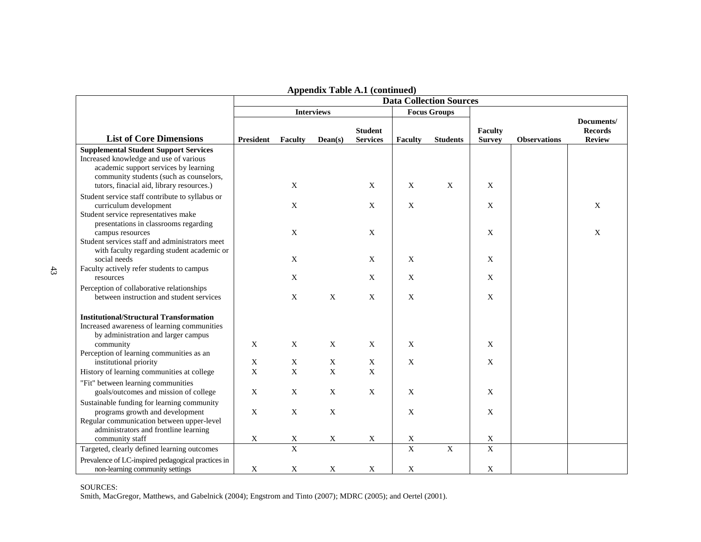|                                                                                                                                                                                                                         |                            |                            |                            |                                   |                  | <b>Data Collection Sources</b> |                          |                     |                                 |  |
|-------------------------------------------------------------------------------------------------------------------------------------------------------------------------------------------------------------------------|----------------------------|----------------------------|----------------------------|-----------------------------------|------------------|--------------------------------|--------------------------|---------------------|---------------------------------|--|
|                                                                                                                                                                                                                         |                            |                            | <b>Interviews</b>          |                                   |                  | <b>Focus Groups</b>            |                          |                     | Documents/                      |  |
| <b>List of Core Dimensions</b>                                                                                                                                                                                          | <b>President</b>           | Faculty                    | Dean(s)                    | <b>Student</b><br><b>Services</b> | <b>Faculty</b>   | <b>Students</b>                | Faculty<br><b>Survey</b> | <b>Observations</b> | <b>Records</b><br><b>Review</b> |  |
| <b>Supplemental Student Support Services</b><br>Increased knowledge and use of various<br>academic support services by learning<br>community students (such as counselors,<br>tutors, finacial aid, library resources.) |                            | $\mathbf X$                |                            | $\mathbf X$                       | $\boldsymbol{X}$ | $\mathbf X$                    | $\mathbf X$              |                     |                                 |  |
| Student service staff contribute to syllabus or<br>curriculum development                                                                                                                                               |                            | X                          |                            | X                                 | $\boldsymbol{X}$ |                                | X                        |                     | $\mathbf{X}$                    |  |
| Student service representatives make<br>presentations in classrooms regarding<br>campus resources<br>Student services staff and administrators meet                                                                     |                            | $\mathbf X$                |                            | $\mathbf X$                       |                  |                                | X                        |                     | X                               |  |
| with faculty regarding student academic or<br>social needs                                                                                                                                                              |                            | $\mathbf X$                |                            | $\mathbf X$                       | X                |                                | X                        |                     |                                 |  |
| Faculty actively refer students to campus<br>resources                                                                                                                                                                  |                            | $\mathbf X$                |                            | $\mathbf X$                       | $\boldsymbol{X}$ |                                | $\mathbf X$              |                     |                                 |  |
| Perception of collaborative relationships<br>between instruction and student services                                                                                                                                   |                            | X                          | $\mathbf X$                | X                                 | $\boldsymbol{X}$ |                                | X                        |                     |                                 |  |
| <b>Institutional/Structural Transformation</b><br>Increased awareness of learning communities<br>by administration and larger campus                                                                                    |                            |                            |                            |                                   |                  |                                |                          |                     |                                 |  |
| community<br>Perception of learning communities as an                                                                                                                                                                   | $\mathbf X$                | $\mathbf X$                | $\mathbf X$                | X                                 | $\boldsymbol{X}$ |                                | X                        |                     |                                 |  |
| institutional priority<br>History of learning communities at college                                                                                                                                                    | $\mathbf X$<br>$\mathbf X$ | $\mathbf X$<br>$\mathbf X$ | $\mathbf X$<br>$\mathbf X$ | $\mathbf X$<br>$\mathbf X$        | X                |                                | $\mathbf X$              |                     |                                 |  |
| "Fit" between learning communities<br>goals/outcomes and mission of college                                                                                                                                             | $\mathbf X$                | $\mathbf X$                | $\mathbf X$                | $\mathbf{X}$                      | $\mathbf{x}$     |                                | $\mathbf X$              |                     |                                 |  |
| Sustainable funding for learning community<br>programs growth and development<br>Regular communication between upper-level<br>administrators and frontline learning                                                     | $\mathbf X$                | $\mathbf X$                | $\mathbf X$                |                                   | $\boldsymbol{X}$ |                                | X                        |                     |                                 |  |
| community staff                                                                                                                                                                                                         | X                          | $\mathbf X$                | $\mathbf X$                | $\mathbf X$                       | $\mathbf X$      |                                | $\mathbf X$              |                     |                                 |  |
| Targeted, clearly defined learning outcomes                                                                                                                                                                             |                            | $\overline{\mathrm{X}}$    |                            |                                   | $\mathbf X$      | $\mathbf X$                    | $\mathbf X$              |                     |                                 |  |
| Prevalence of LC-inspired pedagogical practices in<br>non-learning community settings                                                                                                                                   | $\mathbf X$                | $\mathbf X$                | $\mathbf X$                | $\mathbf X$                       | $\mathbf X$      |                                | $\mathbf X$              |                     |                                 |  |

|  |  |  |  | <b>Appendix Table A.1 (continued)</b> |
|--|--|--|--|---------------------------------------|
|--|--|--|--|---------------------------------------|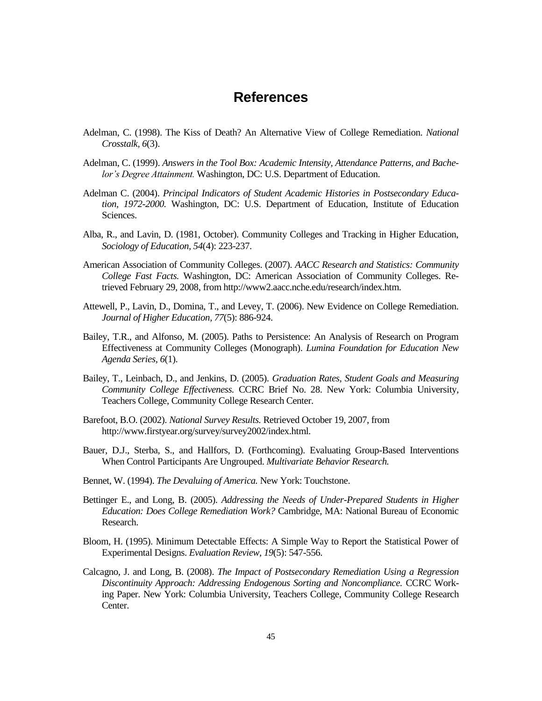### **References**

- Adelman, C. (1998). The Kiss of Death? An Alternative View of College Remediation. *National Crosstalk, 6*(3).
- Adelman, C. (1999). *Answers in the Tool Box: Academic Intensity, Attendance Patterns, and Bachelor's Degree Attainment.* Washington, DC: U.S. Department of Education.
- Adelman C. (2004). *Principal Indicators of Student Academic Histories in Postsecondary Education, 1972-2000.* Washington, DC: U.S. Department of Education, Institute of Education Sciences.
- Alba, R., and Lavin, D. (1981, October). Community Colleges and Tracking in Higher Education, *Sociology of Education, 54*(4): 223-237.
- American Association of Community Colleges. (2007). *AACC Research and Statistics: Community College Fast Facts.* Washington, DC: American Association of Community Colleges. Retrieved February 29, 2008, from http://www2.aacc.nche.edu/research/index.htm.
- Attewell, P., Lavin, D., Domina, T., and Levey, T. (2006). New Evidence on College Remediation. *Journal of Higher Education, 77*(5): 886-924.
- Bailey, T.R., and Alfonso, M. (2005). Paths to Persistence: An Analysis of Research on Program Effectiveness at Community Colleges (Monograph). *Lumina Foundation for Education New Agenda Series, 6*(1).
- Bailey, T., Leinbach, D., and Jenkins, D. (2005). *Graduation Rates, Student Goals and Measuring Community College Effectiveness.* CCRC Brief No. 28. New York: Columbia University, Teachers College, Community College Research Center.
- Barefoot, B.O. (2002). *National Survey Results.* Retrieved October 19, 2007, from http://www.firstyear.org/survey/survey2002/index.html.
- Bauer, D.J., Sterba, S., and Hallfors, D. (Forthcoming). Evaluating Group-Based Interventions When Control Participants Are Ungrouped. *Multivariate Behavior Research.*
- Bennet, W. (1994). *The Devaluing of America.* New York: Touchstone.
- Bettinger E., and Long, B. (2005). *Addressing the Needs of Under-Prepared Students in Higher Education: Does College Remediation Work?* Cambridge, MA: National Bureau of Economic Research.
- Bloom, H. (1995). Minimum Detectable Effects: A Simple Way to Report the Statistical Power of Experimental Designs. *Evaluation Review, 19*(5): 547-556.
- Calcagno, J. and Long, B. (2008). *The Impact of Postsecondary Remediation Using a Regression Discontinuity Approach: Addressing Endogenous Sorting and Noncompliance.* CCRC Working Paper. New York: Columbia University, Teachers College, Community College Research Center.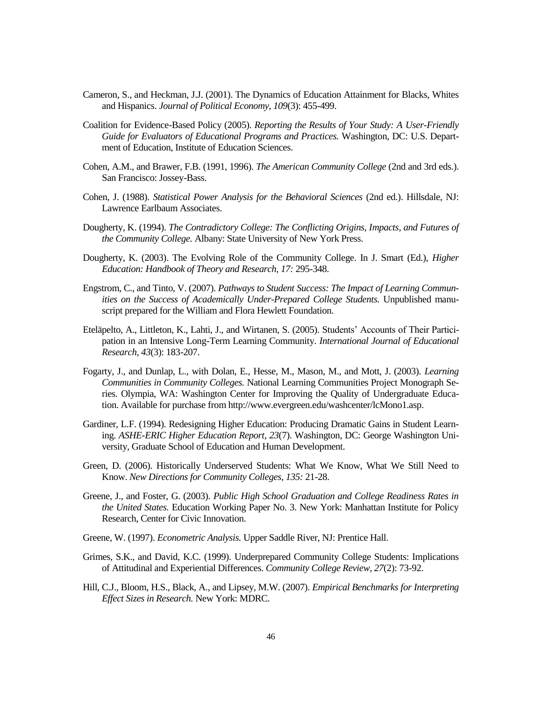- Cameron, S., and Heckman, J.J. (2001). The Dynamics of Education Attainment for Blacks, Whites and Hispanics. *Journal of Political Economy, 109*(3): 455-499.
- Coalition for Evidence-Based Policy (2005). *Reporting the Results of Your Study: A User-Friendly Guide for Evaluators of Educational Programs and Practices.* Washington, DC: U.S. Department of Education, Institute of Education Sciences.
- Cohen, A.M., and Brawer, F.B. (1991, 1996). *The American Community College* (2nd and 3rd eds.). San Francisco: Jossey-Bass.
- Cohen, J. (1988). *Statistical Power Analysis for the Behavioral Sciences* (2nd ed.). Hillsdale, NJ: Lawrence Earlbaum Associates.
- Dougherty, K. (1994). *The Contradictory College: The Conflicting Origins, Impacts, and Futures of the Community College.* Albany: State University of New York Press.
- Dougherty, K. (2003). The Evolving Role of the Community College. In J. Smart (Ed.), *Higher Education: Handbook of Theory and Research, 17:* 295-348.
- Engstrom, C., and Tinto, V. (2007). *Pathways to Student Success: The Impact of Learning Communities on the Success of Academically Under-Prepared College Students.* Unpublished manuscript prepared for the William and Flora Hewlett Foundation.
- Eteläpelto, A., Littleton, K., Lahti, J., and Wirtanen, S. (2005). Students' Accounts of Their Participation in an Intensive Long-Term Learning Community. *International Journal of Educational Research, 43*(3): 183-207.
- Fogarty, J., and Dunlap, L., with Dolan, E., Hesse, M., Mason, M., and Mott, J. (2003). *Learning Communities in Community Colleges.* National Learning Communities Project Monograph Series. Olympia, WA: Washington Center for Improving the Quality of Undergraduate Education. Available for purchase from http://www.evergreen.edu/washcenter/lcMono1.asp.
- Gardiner, L.F. (1994). Redesigning Higher Education: Producing Dramatic Gains in Student Learning. *ASHE-ERIC Higher Education Report, 23*(7). Washington, DC: George Washington University, Graduate School of Education and Human Development.
- Green, D. (2006). Historically Underserved Students: What We Know, What We Still Need to Know. *New Directions for Community Colleges, 135:* 21-28.
- Greene, J., and Foster, G. (2003). *Public High School Graduation and College Readiness Rates in the United States.* Education Working Paper No. 3. New York: Manhattan Institute for Policy Research, Center for Civic Innovation.
- Greene, W. (1997). *Econometric Analysis.* Upper Saddle River, NJ: Prentice Hall.
- Grimes, S.K., and David, K.C. (1999). Underprepared Community College Students: Implications of Attitudinal and Experiential Differences. *Community College Review, 27*(2): 73-92.
- Hill, C.J., Bloom, H.S., Black, A., and Lipsey, M.W. (2007). *Empirical Benchmarks for Interpreting Effect Sizes in Research.* New York: MDRC.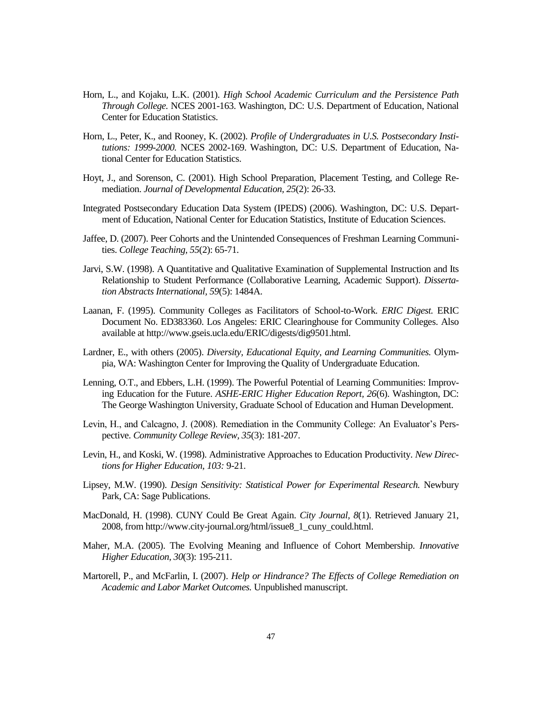- Horn, L., and Kojaku, L.K. (2001). *High School Academic Curriculum and the Persistence Path Through College.* NCES 2001-163. Washington, DC: U.S. Department of Education, National Center for Education Statistics.
- Horn, L., Peter, K., and Rooney, K. (2002). *Profile of Undergraduates in U.S. Postsecondary Institutions: 1999-2000.* NCES 2002-169. Washington, DC: U.S. Department of Education, National Center for Education Statistics.
- Hoyt, J., and Sorenson, C. (2001). High School Preparation, Placement Testing, and College Remediation. *Journal of Developmental Education, 25*(2): 26-33.
- Integrated Postsecondary Education Data System (IPEDS) (2006). Washington, DC: U.S. Department of Education, National Center for Education Statistics, Institute of Education Sciences.
- Jaffee, D. (2007). Peer Cohorts and the Unintended Consequences of Freshman Learning Communities. *College Teaching, 55*(2): 65-71.
- Jarvi, S.W. (1998). A Quantitative and Qualitative Examination of Supplemental Instruction and Its Relationship to Student Performance (Collaborative Learning, Academic Support). *Dissertation Abstracts International, 59*(5): 1484A.
- Laanan, F. (1995). Community Colleges as Facilitators of School-to-Work. *ERIC Digest.* ERIC Document No. ED383360. Los Angeles: ERIC Clearinghouse for Community Colleges. Also available at http://www.gseis.ucla.edu/ERIC/digests/dig9501.html.
- Lardner, E., with others (2005). *Diversity, Educational Equity, and Learning Communities.* Olympia, WA: Washington Center for Improving the Quality of Undergraduate Education.
- Lenning, O.T., and Ebbers, L.H. (1999). The Powerful Potential of Learning Communities: Improving Education for the Future. *ASHE-ERIC Higher Education Report, 26*(6). Washington, DC: The George Washington University, Graduate School of Education and Human Development.
- Levin, H., and Calcagno, J. (2008). Remediation in the Community College: An Evaluator's Perspective. *Community College Review, 35*(3): 181-207.
- Levin, H., and Koski, W. (1998). Administrative Approaches to Education Productivity. *New Directions for Higher Education, 103:* 9-21.
- Lipsey, M.W. (1990). *Design Sensitivity: Statistical Power for Experimental Research.* Newbury Park, CA: Sage Publications.
- MacDonald, H. (1998). CUNY Could Be Great Again. *City Journal, 8*(1). Retrieved January 21, 2008, from http://www.city-journal.org/html/issue8\_1\_cuny\_could.html.
- Maher, M.A. (2005). The Evolving Meaning and Influence of Cohort Membership. *Innovative Higher Education, 30*(3): 195-211.
- Martorell, P., and McFarlin, I. (2007). *Help or Hindrance? The Effects of College Remediation on Academic and Labor Market Outcomes.* Unpublished manuscript.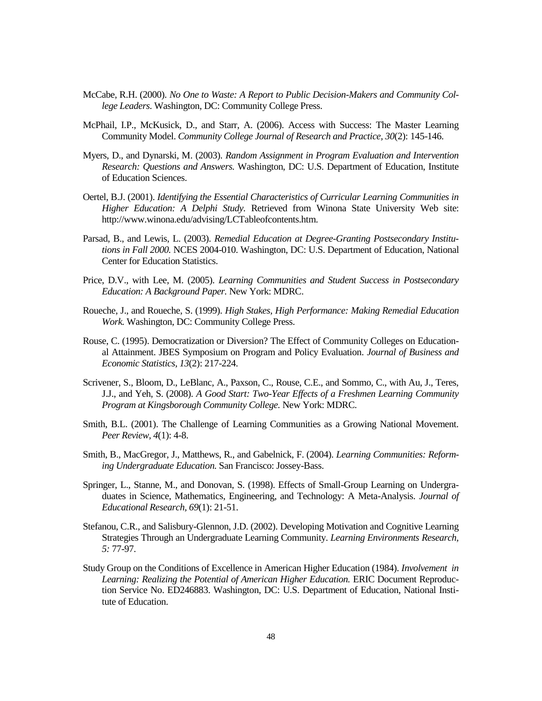- McCabe, R.H. (2000). *No One to Waste: A Report to Public Decision-Makers and Community College Leaders*. Washington, DC: Community College Press.
- McPhail, I.P., McKusick, D., and Starr, A. (2006). Access with Success: The Master Learning Community Model. *Community College Journal of Research and Practice, 30*(2): 145-146.
- Myers, D., and Dynarski, M. (2003). *Random Assignment in Program Evaluation and Intervention Research: Questions and Answers.* Washington, DC: U.S. Department of Education, Institute of Education Sciences.
- Oertel, B.J. (2001). *Identifying the Essential Characteristics of Curricular Learning Communities in Higher Education: A Delphi Study.* Retrieved from Winona State University Web site: http://www.winona.edu/advising/LCTableofcontents.htm.
- Parsad, B., and Lewis, L. (2003). *Remedial Education at Degree-Granting Postsecondary Institutions in Fall 2000.* NCES 2004-010. Washington, DC: U.S. Department of Education, National Center for Education Statistics.
- Price, D.V., with Lee, M. (2005). *Learning Communities and Student Success in Postsecondary Education: A Background Paper.* New York: MDRC.
- Roueche, J., and Roueche, S. (1999). *High Stakes, High Performance: Making Remedial Education Work.* Washington, DC: Community College Press.
- Rouse, C. (1995). Democratization or Diversion? The Effect of Community Colleges on Educational Attainment. JBES Symposium on Program and Policy Evaluation. *Journal of Business and Economic Statistics, 13*(2): 217-224.
- Scrivener, S., Bloom, D., LeBlanc, A., Paxson, C., Rouse, C.E., and Sommo, C., with Au, J., Teres, J.J., and Yeh, S. (2008). *A Good Start: Two-Year Effects of a Freshmen Learning Community Program at Kingsborough Community College.* New York: MDRC.
- Smith, B.L. (2001). The Challenge of Learning Communities as a Growing National Movement. *Peer Review, 4*(1): 4-8.
- Smith, B., MacGregor, J., Matthews, R., and Gabelnick, F. (2004). *Learning Communities: Reforming Undergraduate Education.* San Francisco: Jossey-Bass.
- Springer, L., Stanne, M., and Donovan, S. (1998). Effects of Small-Group Learning on Undergraduates in Science, Mathematics, Engineering, and Technology: A Meta-Analysis. *Journal of Educational Research, 69*(1): 21-51.
- Stefanou, C.R., and Salisbury-Glennon, J.D. (2002). Developing Motivation and Cognitive Learning Strategies Through an Undergraduate Learning Community. *Learning Environments Research, 5:* 77-97.
- Study Group on the Conditions of Excellence in American Higher Education (1984). *Involvement in*  Learning: Realizing the Potential of American Higher Education. ERIC Document Reproduction Service No. ED246883. Washington, DC: U.S. Department of Education, National Institute of Education.